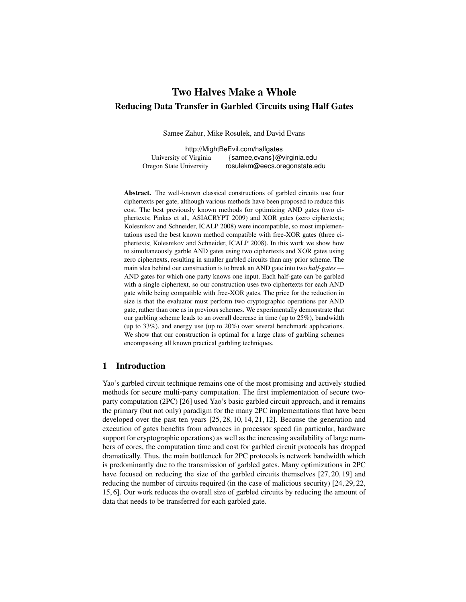# Two Halves Make a Whole Reducing Data Transfer in Garbled Circuits using Half Gates

Samee Zahur, Mike Rosulek, and David Evans

http://MightBeEvil.com/halfgates University of Virginia {samee,evans}@virginia.edu Oregon State University rosulekm@eecs.oregonstate.edu

Abstract. The well-known classical constructions of garbled circuits use four ciphertexts per gate, although various methods have been proposed to reduce this cost. The best previously known methods for optimizing AND gates (two ciphertexts; Pinkas et al., ASIACRYPT 2009) and XOR gates (zero ciphertexts; Kolesnikov and Schneider, ICALP 2008) were incompatible, so most implementations used the best known method compatible with free-XOR gates (three ciphertexts; Kolesnikov and Schneider, ICALP 2008). In this work we show how to simultaneously garble AND gates using two ciphertexts and XOR gates using zero ciphertexts, resulting in smaller garbled circuits than any prior scheme. The main idea behind our construction is to break an AND gate into two *half-gates* — AND gates for which one party knows one input. Each half-gate can be garbled with a single ciphertext, so our construction uses two ciphertexts for each AND gate while being compatible with free-XOR gates. The price for the reduction in size is that the evaluator must perform two cryptographic operations per AND gate, rather than one as in previous schemes. We experimentally demonstrate that our garbling scheme leads to an overall decrease in time (up to 25%), bandwidth (up to 33%), and energy use (up to 20%) over several benchmark applications. We show that our construction is optimal for a large class of garbling schemes encompassing all known practical garbling techniques.

# 1 Introduction

Yao's garbled circuit technique remains one of the most promising and actively studied methods for secure multi-party computation. The first implementation of secure twoparty computation (2PC) [26] used Yao's basic garbled circuit approach, and it remains the primary (but not only) paradigm for the many 2PC implementations that have been developed over the past ten years [25, 28, 10, 14, 21, 12]. Because the generation and execution of gates benefits from advances in processor speed (in particular, hardware support for cryptographic operations) as well as the increasing availability of large numbers of cores, the computation time and cost for garbled circuit protocols has dropped dramatically. Thus, the main bottleneck for 2PC protocols is network bandwidth which is predominantly due to the transmission of garbled gates. Many optimizations in 2PC have focused on reducing the size of the garbled circuits themselves [27, 20, 19] and reducing the number of circuits required (in the case of malicious security) [24, 29, 22, 15, 6]. Our work reduces the overall size of garbled circuits by reducing the amount of data that needs to be transferred for each garbled gate.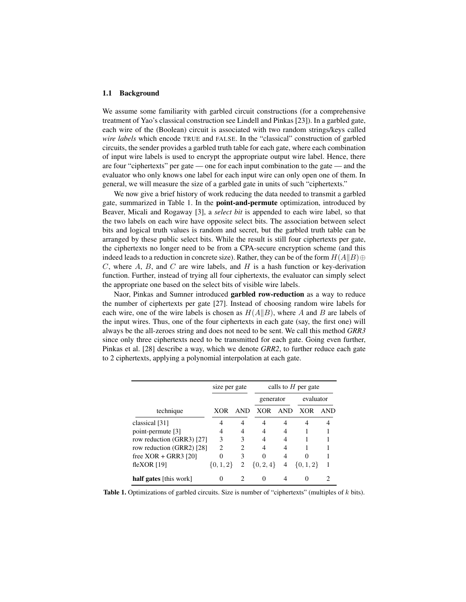#### 1.1 Background

We assume some familiarity with garbled circuit constructions (for a comprehensive treatment of Yao's classical construction see Lindell and Pinkas [23]). In a garbled gate, each wire of the (Boolean) circuit is associated with two random strings/keys called *wire labels* which encode TRUE and FALSE. In the "classical" construction of garbled circuits, the sender provides a garbled truth table for each gate, where each combination of input wire labels is used to encrypt the appropriate output wire label. Hence, there are four "ciphertexts" per gate — one for each input combination to the gate — and the evaluator who only knows one label for each input wire can only open one of them. In general, we will measure the size of a garbled gate in units of such "ciphertexts."

We now give a brief history of work reducing the data needed to transmit a garbled gate, summarized in Table 1. In the point-and-permute optimization, introduced by Beaver, Micali and Rogaway [3], a *select bit* is appended to each wire label, so that the two labels on each wire have opposite select bits. The association between select bits and logical truth values is random and secret, but the garbled truth table can be arranged by these public select bits. While the result is still four ciphertexts per gate, the ciphertexts no longer need to be from a CPA-secure encryption scheme (and this indeed leads to a reduction in concrete size). Rather, they can be of the form  $H(A||B) \oplus$ C, where A, B, and C are wire labels, and H is a hash function or key-derivation function. Further, instead of trying all four ciphertexts, the evaluator can simply select the appropriate one based on the select bits of visible wire labels.

Naor, Pinkas and Sumner introduced garbled row-reduction as a way to reduce the number of ciphertexts per gate [27]. Instead of choosing random wire labels for each wire, one of the wire labels is chosen as  $H(A||B)$ , where A and B are labels of the input wires. Thus, one of the four ciphertexts in each gate (say, the first one) will always be the all-zeroes string and does not need to be sent. We call this method *GRR3* since only three ciphertexts need to be transmitted for each gate. Going even further, Pinkas et al. [28] describe a way, which we denote *GRR2*, to further reduce each gate to 2 ciphertexts, applying a polynomial interpolation at each gate.

|                               | size per gate  |     |               | calls to $H$ per gate |               |           |  |  |
|-------------------------------|----------------|-----|---------------|-----------------------|---------------|-----------|--|--|
|                               |                |     |               | generator             |               | evaluator |  |  |
| technique                     | XOR            | AND | <b>XOR</b>    | AND                   | XOR           | AND       |  |  |
| classical [31]                |                |     | 4             |                       |               |           |  |  |
| point-permute [3]             | 4              | 4   | 4             | 4                     |               |           |  |  |
| row reduction (GRR3) [27]     | 3              | 3   | 4             | 4                     |               |           |  |  |
| row reduction (GRR2) [28]     | $\mathfrak{D}$ | 2   | 4             | 4                     |               |           |  |  |
| free $XOR + GRR3$ [20]        |                | 3   | 0             | 4                     |               |           |  |  |
| fleXOR $[19]$                 | $\{0, 1, 2\}$  | 2   | $\{0, 2, 4\}$ | 4                     | $\{0, 1, 2\}$ |           |  |  |
| <b>half gates</b> [this work] |                |     |               |                       |               |           |  |  |

Table 1. Optimizations of garbled circuits. Size is number of "ciphertexts" (multiples of k bits).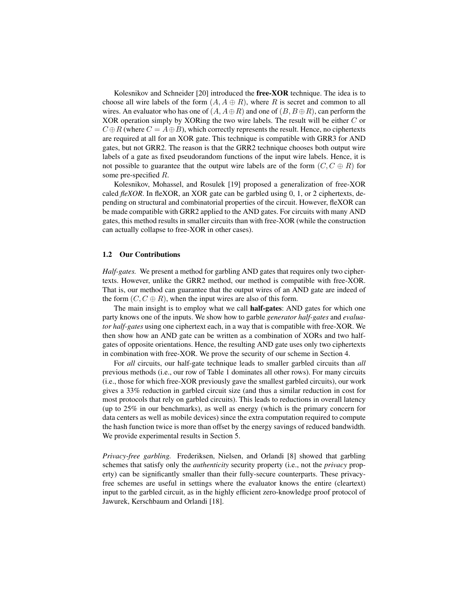Kolesnikov and Schneider [20] introduced the free-XOR technique. The idea is to choose all wire labels of the form  $(A, A \oplus R)$ , where R is secret and common to all wires. An evaluator who has one of  $(A, A \oplus R)$  and one of  $(B, B \oplus R)$ , can perform the XOR operation simply by XORing the two wire labels. The result will be either C or  $C \oplus R$  (where  $C = A \oplus B$ ), which correctly represents the result. Hence, no ciphertexts are required at all for an XOR gate. This technique is compatible with GRR3 for AND gates, but not GRR2. The reason is that the GRR2 technique chooses both output wire labels of a gate as fixed pseudorandom functions of the input wire labels. Hence, it is not possible to guarantee that the output wire labels are of the form  $(C, C \oplus R)$  for some pre-specified R.

Kolesnikov, Mohassel, and Rosulek [19] proposed a generalization of free-XOR caled *fleXOR*. In fleXOR, an XOR gate can be garbled using 0, 1, or 2 ciphertexts, depending on structural and combinatorial properties of the circuit. However, fleXOR can be made compatible with GRR2 applied to the AND gates. For circuits with many AND gates, this method results in smaller circuits than with free-XOR (while the construction can actually collapse to free-XOR in other cases).

#### 1.2 Our Contributions

*Half-gates.* We present a method for garbling AND gates that requires only two ciphertexts. However, unlike the GRR2 method, our method is compatible with free-XOR. That is, our method can guarantee that the output wires of an AND gate are indeed of the form  $(C, C \oplus R)$ , when the input wires are also of this form.

The main insight is to employ what we call **half-gates**: AND gates for which one party knows one of the inputs. We show how to garble *generator half-gates* and *evaluator half-gates* using one ciphertext each, in a way that is compatible with free-XOR. We then show how an AND gate can be written as a combination of XORs and two halfgates of opposite orientations. Hence, the resulting AND gate uses only two ciphertexts in combination with free-XOR. We prove the security of our scheme in Section 4.

For *all* circuits, our half-gate technique leads to smaller garbled circuits than *all* previous methods (i.e., our row of Table 1 dominates all other rows). For many circuits (i.e., those for which free-XOR previously gave the smallest garbled circuits), our work gives a 33% reduction in garbled circuit size (and thus a similar reduction in cost for most protocols that rely on garbled circuits). This leads to reductions in overall latency (up to 25% in our benchmarks), as well as energy (which is the primary concern for data centers as well as mobile devices) since the extra computation required to compute the hash function twice is more than offset by the energy savings of reduced bandwidth. We provide experimental results in Section 5.

*Privacy-free garbling.* Frederiksen, Nielsen, and Orlandi [8] showed that garbling schemes that satisfy only the *authenticity* security property (i.e., not the *privacy* property) can be significantly smaller than their fully-secure counterparts. These privacyfree schemes are useful in settings where the evaluator knows the entire (cleartext) input to the garbled circuit, as in the highly efficient zero-knowledge proof protocol of Jawurek, Kerschbaum and Orlandi [18].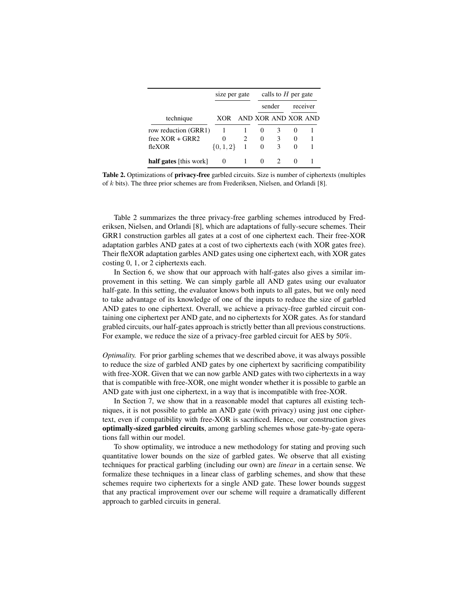|                               | size per gate |   | calls to $H$ per gate |        |                   |          |  |
|-------------------------------|---------------|---|-----------------------|--------|-------------------|----------|--|
|                               |               |   |                       | sender |                   | receiver |  |
| technique                     | <b>XOR</b>    |   | AND XOR AND XOR AND   |        |                   |          |  |
| row reduction (GRR1)          |               |   | $\theta$              | 3      | $\theta$          |          |  |
| free $XOR + GRR2$             |               | 2 | $\mathbf{0}$          | 3      | $\theta$          |          |  |
| fleXOR                        | $\{0, 1, 2\}$ |   | 0                     | 3      | 0                 |          |  |
| <b>half gates</b> [this work] |               |   | $\mathbf{0}$          |        | $\mathbf{\Omega}$ |          |  |

Table 2. Optimizations of privacy-free garbled circuits. Size is number of ciphertexts (multiples of k bits). The three prior schemes are from Frederiksen, Nielsen, and Orlandi [8].

Table 2 summarizes the three privacy-free garbling schemes introduced by Frederiksen, Nielsen, and Orlandi [8], which are adaptations of fully-secure schemes. Their GRR1 construction garbles all gates at a cost of one ciphertext each. Their free-XOR adaptation garbles AND gates at a cost of two ciphertexts each (with XOR gates free). Their fleXOR adaptation garbles AND gates using one ciphertext each, with XOR gates costing 0, 1, or 2 ciphertexts each.

In Section 6, we show that our approach with half-gates also gives a similar improvement in this setting. We can simply garble all AND gates using our evaluator half-gate. In this setting, the evaluator knows both inputs to all gates, but we only need to take advantage of its knowledge of one of the inputs to reduce the size of garbled AND gates to one ciphertext. Overall, we achieve a privacy-free garbled circuit containing one ciphertext per AND gate, and no ciphertexts for XOR gates. As for standard grabled circuits, our half-gates approach is strictly better than all previous constructions. For example, we reduce the size of a privacy-free garbled circuit for AES by 50%.

*Optimality.* For prior garbling schemes that we described above, it was always possible to reduce the size of garbled AND gates by one ciphertext by sacrificing compatibility with free-XOR. Given that we can now garble AND gates with two ciphertexts in a way that is compatible with free-XOR, one might wonder whether it is possible to garble an AND gate with just one ciphertext, in a way that is incompatible with free-XOR.

In Section 7, we show that in a reasonable model that captures all existing techniques, it is not possible to garble an AND gate (with privacy) using just one ciphertext, even if compatibility with free-XOR is sacrificed. Hence, our construction gives optimally-sized garbled circuits, among garbling schemes whose gate-by-gate operations fall within our model.

To show optimality, we introduce a new methodology for stating and proving such quantitative lower bounds on the size of garbled gates. We observe that all existing techniques for practical garbling (including our own) are *linear* in a certain sense. We formalize these techniques in a linear class of garbling schemes, and show that these schemes require two ciphertexts for a single AND gate. These lower bounds suggest that any practical improvement over our scheme will require a dramatically different approach to garbled circuits in general.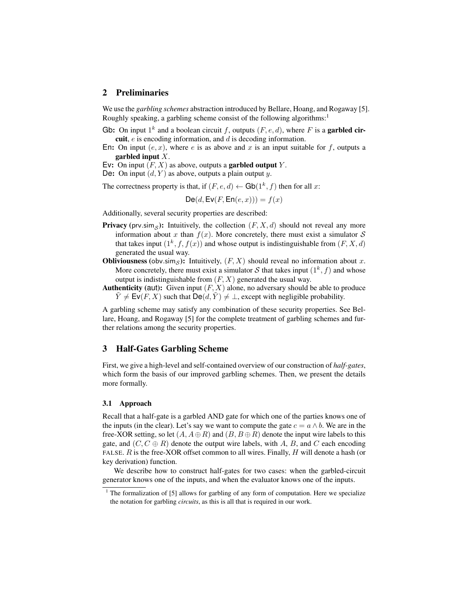## 2 Preliminaries

We use the *garbling schemes* abstraction introduced by Bellare, Hoang, and Rogaway [5]. Roughly speaking, a garbling scheme consist of the following algorithms:<sup>1</sup>

- Gb: On input  $1^k$  and a boolean circuit f, outputs  $(F, e, d)$ , where F is a garbled circuit, e is encoding information, and d is decoding information.
- En: On input  $(e, x)$ , where e is as above and x is an input suitable for f, outputs a garbled input  $X$ .

Ev: On input  $(F, X)$  as above, outputs a garbled output Y.

De: On input  $(d, Y)$  as above, outputs a plain output y.

The correctness property is that, if  $(F, e, d) \leftarrow$  Gb $(1^k, f)$  then for all x:

 $\mathsf{De}(d,\mathsf{Ev}(F,\mathsf{En}(e,x))) = f(x)$ 

Additionally, several security properties are described:

- **Privacy** (prv.sim<sub>S</sub>): Intuitively, the collection  $(F, X, d)$  should not reveal any more information about x than  $f(x)$ . More concretely, there must exist a simulator S that takes input  $(1^k, f, f(x))$  and whose output is indistinguishable from  $(F, X, d)$ generated the usual way.
- **Obliviousness** (obv.sim<sub>S</sub>): Intuitively,  $(F, X)$  should reveal no information about x. More concretely, there must exist a simulator S that takes input  $(1^k, f)$  and whose output is indistinguishable from  $(F, X)$  generated the usual way.
- Authenticity (aut): Given input  $(F, X)$  alone, no adversary should be able to produce  $Y \neq \text{Ev}(F, X)$  such that  $\text{De}(d, Y) \neq \bot$ , except with negligible probability.

A garbling scheme may satisfy any combination of these security properties. See Bellare, Hoang, and Rogaway [5] for the complete treatment of garbling schemes and further relations among the security properties.

### 3 Half-Gates Garbling Scheme

First, we give a high-level and self-contained overview of our construction of *half-gates*, which form the basis of our improved garbling schemes. Then, we present the details more formally.

#### 3.1 Approach

Recall that a half-gate is a garbled AND gate for which one of the parties knows one of the inputs (in the clear). Let's say we want to compute the gate  $c = a \wedge b$ . We are in the free-XOR setting, so let  $(A, A \oplus R)$  and  $(B, B \oplus R)$  denote the input wire labels to this gate, and  $(C, C \oplus R)$  denote the output wire labels, with A, B, and C each encoding FALSE.  $R$  is the free-XOR offset common to all wires. Finally,  $H$  will denote a hash (or key derivation) function.

We describe how to construct half-gates for two cases: when the garbled-circuit generator knows one of the inputs, and when the evaluator knows one of the inputs.

 $1$  The formalization of [5] allows for garbling of any form of computation. Here we specialize the notation for garbling *circuits*, as this is all that is required in our work.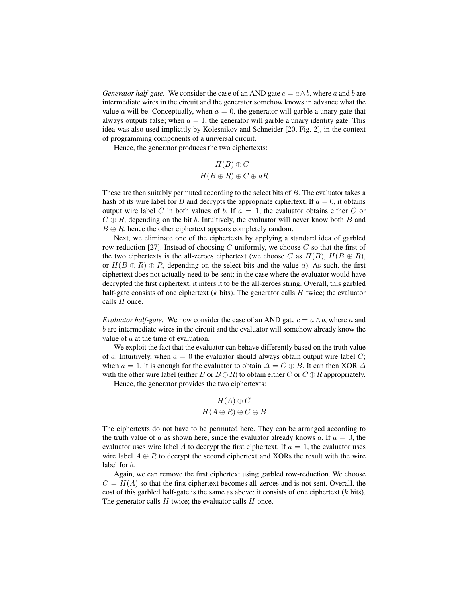*Generator half-gate.* We consider the case of an AND gate  $c = a \wedge b$ , where a and b are intermediate wires in the circuit and the generator somehow knows in advance what the value a will be. Conceptually, when  $a = 0$ , the generator will garble a unary gate that always outputs false; when  $a = 1$ , the generator will garble a unary identity gate. This idea was also used implicitly by Kolesnikov and Schneider [20, Fig. 2], in the context of programming components of a universal circuit.

Hence, the generator produces the two ciphertexts:

$$
H(B) \oplus C
$$
  

$$
H(B \oplus R) \oplus C \oplus aR
$$

These are then suitably permuted according to the select bits of  $B$ . The evaluator takes a hash of its wire label for B and decrypts the appropriate ciphertext. If  $a = 0$ , it obtains output wire label C in both values of b. If  $a = 1$ , the evaluator obtains either C or  $C \oplus R$ , depending on the bit b. Intuitively, the evaluator will never know both B and  $B \oplus R$ , hence the other ciphertext appears completely random.

Next, we eliminate one of the ciphertexts by applying a standard idea of garbled row-reduction [27]. Instead of choosing  $C$  uniformly, we choose  $C$  so that the first of the two ciphertexts is the all-zeroes ciphertext (we choose C as  $H(B)$ ,  $H(B \oplus R)$ , or  $H(B \oplus R) \oplus R$ , depending on the select bits and the value a). As such, the first ciphertext does not actually need to be sent; in the case where the evaluator would have decrypted the first ciphertext, it infers it to be the all-zeroes string. Overall, this garbled half-gate consists of one ciphertext  $(k \text{ bits})$ . The generator calls  $H$  twice; the evaluator calls H once.

*Evaluator half-gate.* We now consider the case of an AND gate  $c = a \wedge b$ , where a and b are intermediate wires in the circuit and the evaluator will somehow already know the value of  $a$  at the time of evaluation.

We exploit the fact that the evaluator can behave differently based on the truth value of a. Intuitively, when  $a = 0$  the evaluator should always obtain output wire label C; when  $a = 1$ , it is enough for the evaluator to obtain  $\Delta = C \oplus B$ . It can then XOR  $\Delta$ with the other wire label (either B or  $B \oplus R$ ) to obtain either C or  $C \oplus R$  appropriately.

Hence, the generator provides the two ciphertexts:

$$
H(A) \oplus C
$$
  

$$
H(A \oplus R) \oplus C \oplus B
$$

The ciphertexts do not have to be permuted here. They can be arranged according to the truth value of a as shown here, since the evaluator already knows a. If  $a = 0$ , the evaluator uses wire label A to decrypt the first ciphertext. If  $a = 1$ , the evaluator uses wire label  $A \oplus R$  to decrypt the second ciphertext and XORs the result with the wire label for b.

Again, we can remove the first ciphertext using garbled row-reduction. We choose  $C = H(A)$  so that the first ciphertext becomes all-zeroes and is not sent. Overall, the cost of this garbled half-gate is the same as above: it consists of one ciphertext  $(k \text{ bits})$ . The generator calls  $H$  twice; the evaluator calls  $H$  once.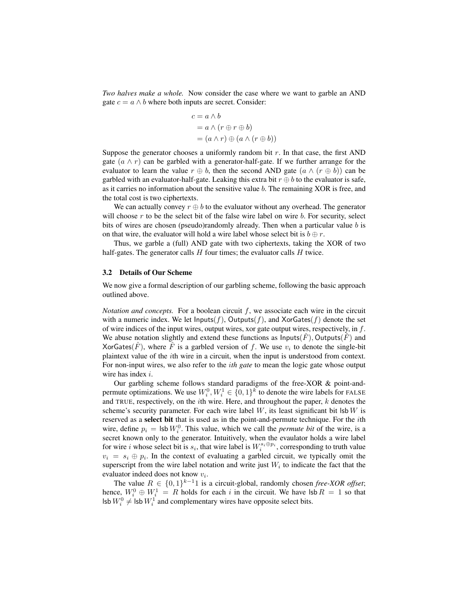*Two halves make a whole.* Now consider the case where we want to garble an AND gate  $c = a \wedge b$  where both inputs are secret. Consider:

$$
c = a \land b
$$
  
=  $a \land (r \oplus r \oplus b)$   
=  $(a \land r) \oplus (a \land (r \oplus b))$ 

Suppose the generator chooses a uniformly random bit  $r$ . In that case, the first AND gate  $(a \wedge r)$  can be garbled with a generator-half-gate. If we further arrange for the evaluator to learn the value  $r \oplus b$ , then the second AND gate  $(a \wedge (r \oplus b))$  can be garbled with an evaluator-half-gate. Leaking this extra bit  $r \oplus b$  to the evaluator is safe, as it carries no information about the sensitive value b. The remaining XOR is free, and the total cost is two ciphertexts.

We can actually convey  $r \oplus b$  to the evaluator without any overhead. The generator will choose  $r$  to be the select bit of the false wire label on wire  $b$ . For security, select bits of wires are chosen (pseudo)randomly already. Then when a particular value b is on that wire, the evaluator will hold a wire label whose select bit is  $b \oplus r$ .

Thus, we garble a (full) AND gate with two ciphertexts, taking the XOR of two half-gates. The generator calls  $H$  four times; the evaluator calls  $H$  twice.

#### 3.2 Details of Our Scheme

We now give a formal description of our garbling scheme, following the basic approach outlined above.

*Notation and concepts.* For a boolean circuit f, we associate each wire in the circuit with a numeric index. We let  $\textsf{inputs}(f)$ , Outputs $(f)$ , and XorGates $(f)$  denote the set of wire indices of the input wires, output wires, xor gate output wires, respectively, in  $f$ . We abuse notation slightly and extend these functions as  $\textsf{Inputs}(F)$ , Outputs( $\overline{F}$ ) and XorGates( $\hat{F}$ ), where  $\hat{F}$  is a garbled version of f. We use  $v_i$  to denote the single-bit plaintext value of the ith wire in a circuit, when the input is understood from context. For non-input wires, we also refer to the i*th gate* to mean the logic gate whose output wire has index *i*.

Our garbling scheme follows standard paradigms of the free-XOR & point-andpermute optimizations. We use  $W_i^0, W_i^1 \in \{0, 1\}^k$  to denote the wire labels for FALSE and TRUE, respectively, on the *i*th wire. Here, and throughout the paper,  $k$  denotes the scheme's security parameter. For each wire label  $W$ , its least significant bit  $\vert$ sb  $W$  is reserved as a **select bit** that is used as in the point-and-permute technique. For the *i*th wire, define  $p_i = \text{lsb } W_i^0$ . This value, which we call the *permute bit* of the wire, is a secret known only to the generator. Intuitively, when the evaulator holds a wire label for wire *i* whose select bit is  $s_i$ , that wire label is  $W_i^{s_i \oplus p_i}$ , corresponding to truth value  $v_i = s_i \oplus p_i$ . In the context of evaluating a garbled circuit, we typically omit the superscript from the wire label notation and write just  $W_i$  to indicate the fact that the evaluator indeed does not know  $v_i$ .

The value  $R \in \{0,1\}^{k-1}$  is a circuit-global, randomly chosen *free-XOR offset*; hence,  $W_i^0 \oplus W_i^1 = R$  holds for each i in the circuit. We have  $\mathsf{lsb}\,R = 1$  so that  $\mathsf{lsb}\,W_i^0 \neq \mathsf{lsb}\,W_i^1$  and complementary wires have opposite select bits.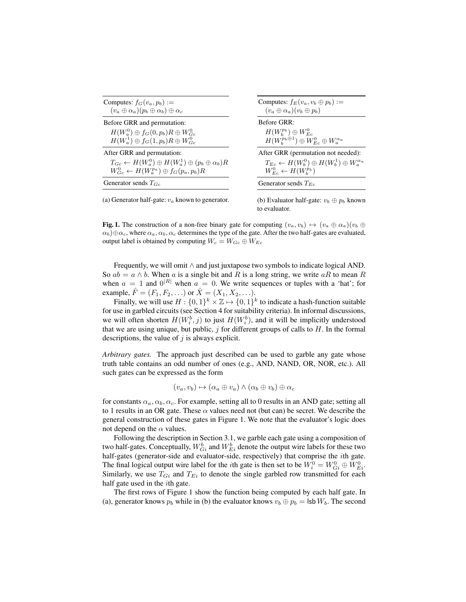| Computes: $f_G(v_a, p_b) :=$<br>$(v_a \oplus \alpha_a)(p_b \oplus \alpha_b) \oplus \alpha_c$                                           |
|----------------------------------------------------------------------------------------------------------------------------------------|
| Before GRR and permutation:                                                                                                            |
| $H(W_a^0) \oplus f_G(0,p_b)R \oplus W_{Gc}^0$<br>$H(W_a^1) \oplus f_G(1,p_b)R \oplus W_{GC}^0$                                         |
| After GRR and permutation:                                                                                                             |
| $T_{Gc} \leftarrow H(W_a^0) \oplus H(W_a^1) \oplus (p_b \oplus \alpha_b)R$<br>$W_{Gc}^0 \leftarrow H(W_a^{p_a}) \oplus f_G(p_a, p_b)R$ |
| Generator sends $T_{Ge}$                                                                                                               |
| (a) Generator half-gate: $v_a$ known to generator.                                                                                     |

| Computes: $f_E(v_a, v_b \oplus p_b) :=$<br>$(v_a \oplus \alpha_a)(v_b \oplus p_b)$                        |
|-----------------------------------------------------------------------------------------------------------|
| Before GRR:                                                                                               |
| $H(W_h^{p_b})\oplus W_{Ec}^0$<br>$H(W_h^{p_b \oplus 1}) \oplus W_{E_c}^0 \oplus W_a^{\alpha_a}$           |
| After GRR (permutation not needed):                                                                       |
| $T_{Ec} \leftarrow H(W_b^0) \oplus H(W_b^1) \oplus W_a^{\alpha_a}$<br>$W_{E_c}^0 \leftarrow H(W_b^{p_b})$ |
| Generator sends $T_{Ec}$                                                                                  |

(b) Evaluator half-gate:  $v_b \oplus p_b$  known to evaluator.

Fig. 1. The construction of a non-free binary gate for computing  $(v_a, v_b) \mapsto (v_a \oplus \alpha_a)(v_b \oplus$  $\alpha_b$ ) $\oplus \alpha_c$ , where  $\alpha_a, \alpha_b, \alpha_c$  determines the type of the gate. After the two half-gates are evaluated, output label is obtained by computing  $W_c = W_{Gc} \oplus W_{Ec}$ 

Frequently, we will omit ∧ and just juxtapose two symbols to indicate logical AND. So  $ab = a \wedge b$ . When a is a single bit and R is a long string, we write aR to mean R when  $a = 1$  and  $0^{|R|}$  when  $a = 0$ . We write sequences or tuples with a 'hat'; for example,  $\hat{F} = (F_1, F_2, ...)$  or  $\hat{X} = (X_1, X_2, ...)$ .

Finally, we will use  $H: \{0,1\}^k \times \mathbb{Z} \mapsto \{0,1\}^k$  to indicate a hash-function suitable for use in garbled circuits (see Section 4 for suitability criteria). In informal discussions, we will often shorten  $H(W_i^b, j)$  to just  $H(W_i^b)$ , and it will be implicitly understood that we are using unique, but public,  $j$  for different groups of calls to  $H$ . In the formal descriptions, the value of  $j$  is always explicit.

*Arbitrary gates.* The approach just described can be used to garble any gate whose truth table contains an odd number of ones (e.g., AND, NAND, OR, NOR, etc.). All such gates can be expressed as the form

$$
(v_a, v_b) \mapsto (\alpha_a \oplus v_a) \wedge (\alpha_b \oplus v_b) \oplus \alpha_c
$$

for constants  $\alpha_a, \alpha_b, \alpha_c$ . For example, setting all to 0 results in an AND gate; setting all to 1 results in an OR gate. These  $\alpha$  values need not (but can) be secret. We describe the general construction of these gates in Figure 1. We note that the evaluator's logic does not depend on the  $\alpha$  values.

Following the description in Section 3.1, we garble each gate using a composition of two half-gates. Conceptually,  $W_{Gi}^{b}$  and  $W_{Ei}^{b}$  denote the output wire labels for these two half-gates (generator-side and evaluator-side, respectively) that comprise the ith gate. The final logical output wire label for the *i*th gate is then set to be  $W_{i}^{0} = W_{Gi}^{0} \oplus W_{Ei}^{0}$ . Similarly, we use  $T_{Gi}$  and  $T_{Ei}$  to denote the single garbled row transmitted for each half gate used in the *i*th gate.

The first rows of Figure 1 show the function being computed by each half gate. In (a), generator knows  $p_b$  while in (b) the evaluator knows  $v_b \oplus p_b = \text{lsb } W_b$ . The second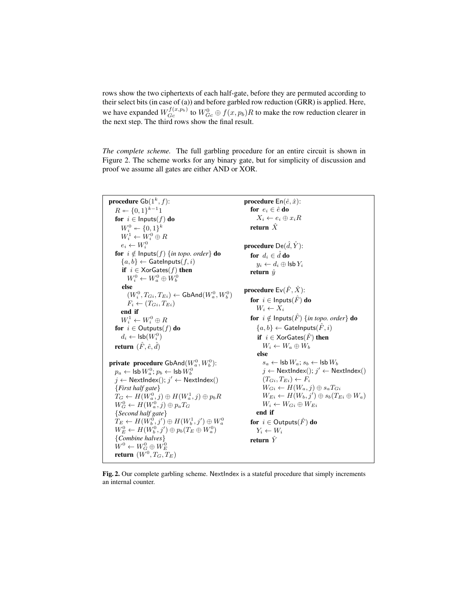rows show the two ciphertexts of each half-gate, before they are permuted according to their select bits (in case of (a)) and before garbled row reduction (GRR) is applied. Here, we have expanded  $W_{Gc}^{f(x,p_b)}$  to  $W_{Gc}^0 \oplus f(x,p_b)R$  to make the row reduction clearer in the next step. The third rows show the final result.

*The complete scheme.* The full garbling procedure for an entire circuit is shown in Figure 2. The scheme works for any binary gate, but for simplicity of discussion and proof we assume all gates are either AND or XOR.

```
\mathbf{procedure}~\mathsf{Gb}(1^k,f):
   R \leftarrow \{0,1\}^{k-1}1for i \in Inputs(f) do
       W_i^0 \leftarrow \{0, 1\}^kW_i^1 \leftarrow W_i^0 \oplus Re_i \leftarrow W_i^0for i \notin Inputs(f) {in topo. order} do
      {a,b} \leftarrow GateInputs(f, i)if i \in \text{XorGates}(f) then
          W_i^0 \leftarrow W_a^0 \oplus W_b^0else
          (W_i^0, T_{Gi}, T_{Ei}) \leftarrow \mathsf{GbAnd}(W_a^0, W_b^0)F_i \leftarrow (T_{Gi}, T_{Ei})end if
       W_i^1 \leftarrow W_i^0 \oplus Rfor i \in Outputs(f) do
       d_i \leftarrow \mathsf{lsb}(W_i^0)return (\hat{F}, \hat{e}, \hat{d})private procedure \mathsf{GbAnd}\left(W_{a}^{0},W_{b}^{0}\right):
   p_a \leftarrow \textsf{lsb}\, W_a^0; p_b \leftarrow \textsf{lsb}\, W_b^0j \leftarrow NextIndex(j; j' \leftarrow NextIndex(j){First half gate}
   T_G \leftarrow H(W_a^0, j) \oplus H(W_a^1, j) \oplus p_b RW_G^0 \leftarrow H(W_a^0, j) \oplus p_a T_G{Second half gate}
   T_E \leftarrow H(W_b^0, j') \oplus H(W_b^1, j') \oplus W_a^0<br>
W_E^0 \leftarrow H(W_b^0, j') \oplus p_b(T_E \oplus W_a^0){Combine halves}
   W^0 \leftarrow W_G^0 \oplus W_E^0return (W^0, T_G, T_E)procedure En(\hat{e}, \hat{x}):
                                                                                for e_i \in \hat{e} do
                                                                                   X_i \leftarrow e_i \oplus x_i Rreturn \hat{X}procedure De(\hat{d}, \hat{Y}):
                                                                                for d_i \in \hat{d} do
                                                                                   y_i \leftarrow d_i \oplus \mathsf{lsb}\, Y_ireturn \hat{y}procedure Ev(\hat{F}, \hat{X}):
                                                                                for i \in Inputs(\hat{F}) do
                                                                                    W_i \leftarrow X_ifor i \notin Inputs(\hat{F}) {in topo. order} do
                                                                                    {a,b}\leftarrow GateInputs(\hat{F},i)if i \in \text{XorGates}(\hat{F}) then
                                                                                       W_i \leftarrow W_a \oplus W_belse
                                                                                       s_a \leftarrow \textsf{lsb}\, W_a; s_b \leftarrow \textsf{lsb}\, W_bj \leftarrow NextIndex(j; j' \leftarrow NextIndex(j)(T_{Gi}, T_{Ei}) \leftarrow F_iW_{Gi} \leftarrow H(W_a, j) \oplus s_a T_{Gi}W_{E_i} \leftarrow H(W_b, j') \oplus s_b(T_{E_i} \oplus W_a)W_i \leftarrow W_{Gi} \oplus W_{Ei}end if
                                                                                for i \in Outputs(\hat{F}) do
                                                                                   Y_i \leftarrow W_ireturn \hat{Y}
```
Fig. 2. Our complete garbling scheme. NextIndex is a stateful procedure that simply increments an internal counter.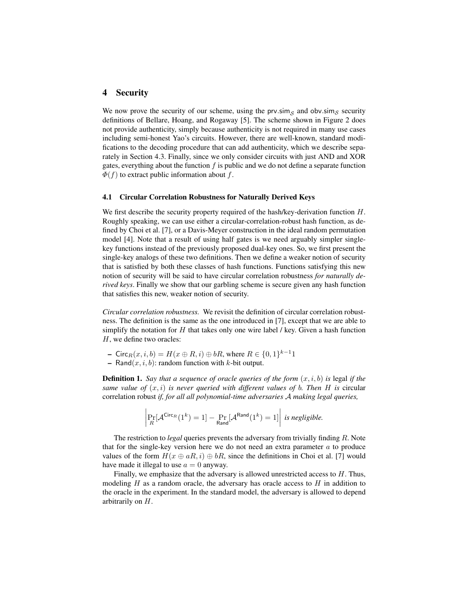# 4 Security

We now prove the security of our scheme, using the prv.sim<sub>S</sub> and obv.sim<sub>S</sub> security definitions of Bellare, Hoang, and Rogaway [5]. The scheme shown in Figure 2 does not provide authenticity, simply because authenticity is not required in many use cases including semi-honest Yao's circuits. However, there are well-known, standard modifications to the decoding procedure that can add authenticity, which we describe separately in Section 4.3. Finally, since we only consider circuits with just AND and XOR gates, everything about the function  $f$  is public and we do not define a separate function  $\Phi(f)$  to extract public information about f.

#### 4.1 Circular Correlation Robustness for Naturally Derived Keys

We first describe the security property required of the hash/key-derivation function  $H$ . Roughly speaking, we can use either a circular-correlation-robust hash function, as defined by Choi et al. [7], or a Davis-Meyer construction in the ideal random permutation model [4]. Note that a result of using half gates is we need arguably simpler singlekey functions instead of the previously proposed dual-key ones. So, we first present the single-key analogs of these two definitions. Then we define a weaker notion of security that is satisfied by both these classes of hash functions. Functions satisfying this new notion of security will be said to have circular correlation robustness *for naturally derived keys*. Finally we show that our garbling scheme is secure given any hash function that satisfies this new, weaker notion of security.

*Circular correlation robustness.* We revisit the definition of circular correlation robustness. The definition is the same as the one introduced in [7], except that we are able to simplify the notation for  $H$  that takes only one wire label  $/$  key. Given a hash function H, we define two oracles:

- Circ $_R(x, i, b) = H(x \oplus R, i) \oplus bR$ , where  $R \in \{0, 1\}^{k-1}$ 1
- Rand $(x, i, b)$ : random function with k-bit output.

**Definition 1.** *Say that a sequence of oracle queries of the form*  $(x, i, b)$  *is* legal *if the same value of* (x, i) *is never queried with different values of* b*. Then* H *is* circular correlation robust *if, for all all polynomial-time adversaries* A *making legal queries,*

$$
\left| \Pr_{R}[\mathcal{A}^{\mathsf{Circ}_{R}}(1^{k})=1] - \Pr_{\mathsf{Rand}}[\mathcal{A}^{\mathsf{Rand}}(1^{k})=1] \right| \text{ is negligible.}
$$

The restriction to *legal* queries prevents the adversary from trivially finding R. Note that for the single-key version here we do not need an extra parameter  $a$  to produce values of the form  $H(x \oplus aR, i) \oplus bR$ , since the definitions in Choi et al. [7] would have made it illegal to use  $a = 0$  anyway.

Finally, we emphasize that the adversary is allowed unrestricted access to  $H$ . Thus, modeling  $H$  as a random oracle, the adversary has oracle access to  $H$  in addition to the oracle in the experiment. In the standard model, the adversary is allowed to depend arbitrarily on H.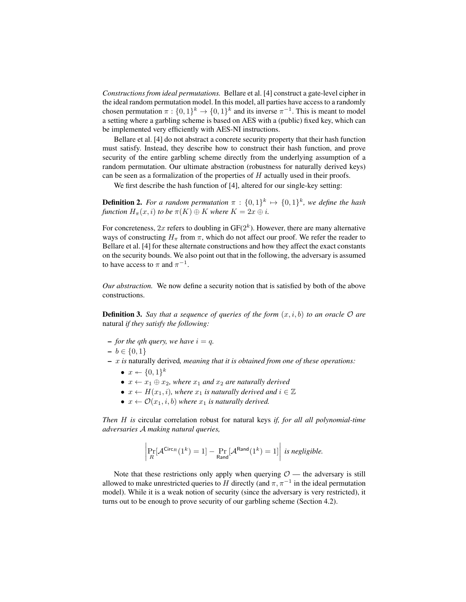*Constructions from ideal permutations.* Bellare et al. [4] construct a gate-level cipher in the ideal random permutation model. In this model, all parties have access to a randomly chosen permutation  $\pi: \{0,1\}^k \to \{0,1\}^k$  and its inverse  $\pi^{-1}$ . This is meant to model a setting where a garbling scheme is based on AES with a (public) fixed key, which can be implemented very efficiently with AES-NI instructions.

Bellare et al. [4] do not abstract a concrete security property that their hash function must satisfy. Instead, they describe how to construct their hash function, and prove security of the entire garbling scheme directly from the underlying assumption of a random permutation. Our ultimate abstraction (robustness for naturally derived keys) can be seen as a formalization of the properties of  $H$  actually used in their proofs.

We first describe the hash function of [4], altered for our single-key setting:

**Definition 2.** For a random permutation  $\pi : \{0,1\}^k \mapsto \{0,1\}^k$ , we define the hash *function*  $H_{\pi}(x, i)$  *to be*  $\pi(K) \oplus K$  *where*  $K = 2x \oplus i$ *.* 

For concreteness,  $2x$  refers to doubling in GF( $2^k$ ). However, there are many alternative ways of constructing  $H_\pi$  from  $\pi$ , which do not affect our proof. We refer the reader to Bellare et al. [4] for these alternate constructions and how they affect the exact constants on the security bounds. We also point out that in the following, the adversary is assumed to have access to  $\pi$  and  $\pi^{-1}$ .

*Our abstraction.* We now define a security notion that is satisfied by both of the above constructions.

**Definition 3.** Say that a sequence of queries of the form  $(x, i, b)$  to an oracle  $\mathcal{O}$  are natural *if they satisfy the following:*

- $-$  *for the qth query, we have*  $i = q$ *.*
- $b \in \{0, 1\}$
- x *is* naturally derived*, meaning that it is obtained from one of these operations:*
	- $x \leftarrow \{0,1\}^k$
	- $x \leftarrow x_1 \oplus x_2$ , where  $x_1$  and  $x_2$  are naturally derived
	- $x \leftarrow H(x_1, i)$ *, where*  $x_1$  *is naturally derived and*  $i \in \mathbb{Z}$
	- $x \leftarrow \mathcal{O}(x_1, i, b)$  *where*  $x_1$  *is naturally derived.*

*Then* H *is* circular correlation robust for natural keys *if, for all all polynomial-time adversaries* A *making natural queries,*

$$
\left|\Pr_R[\mathcal{A}^{\mathsf{Circ}_R}(1^k)=1]-\Pr_{\mathsf{Rand}}[\mathcal{A}^{\mathsf{Rand}}(1^k)=1]\right|\text{ is negligible.}
$$

Note that these restrictions only apply when querying  $\mathcal{O}$  — the adversary is still allowed to make unrestricted queries to H directly (and  $\pi, \pi^{-1}$  in the ideal permutation model). While it is a weak notion of security (since the adversary is very restricted), it turns out to be enough to prove security of our garbling scheme (Section 4.2).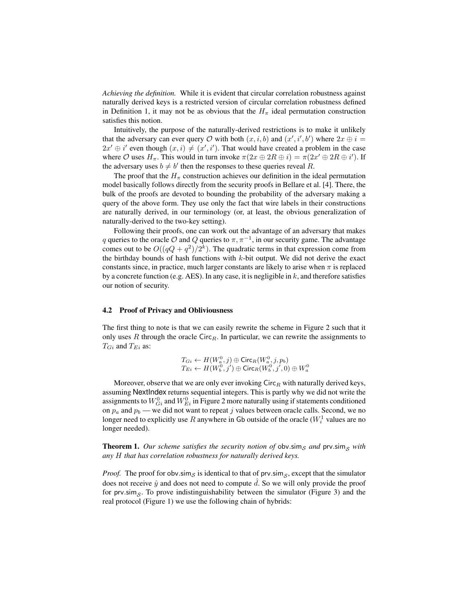*Achieving the definition.* While it is evident that circular correlation robustness against naturally derived keys is a restricted version of circular correlation robustness defined in Definition 1, it may not be as obvious that the  $H_\pi$  ideal permutation construction satisfies this notion.

Intuitively, the purpose of the naturally-derived restrictions is to make it unlikely that the adversary can ever query O with both  $(x, i, b)$  and  $(x', i', b')$  where  $2x \oplus i =$  $2x' \oplus i'$  even though  $(x, i) \neq (x', i')$ . That would have created a problem in the case where O uses  $H_{\pi}$ . This would in turn invoke  $\pi(2x \oplus 2R \oplus i) = \pi(2x' \oplus 2R \oplus i')$ . If the adversary uses  $b \neq b'$  then the responses to these queries reveal R.

The proof that the  $H_{\pi}$  construction achieves our definition in the ideal permutation model basically follows directly from the security proofs in Bellare et al. [4]. There, the bulk of the proofs are devoted to bounding the probability of the adversary making a query of the above form. They use only the fact that wire labels in their constructions are naturally derived, in our terminology (or, at least, the obvious generalization of naturally-derived to the two-key setting).

Following their proofs, one can work out the advantage of an adversary that makes q queries to the oracle O and Q queries to  $\pi, \pi^{-1}$ , in our security game. The advantage comes out to be  $O((qQ + q^2)/2^k)$ . The quadratic terms in that expression come from the birthday bounds of hash functions with  $k$ -bit output. We did not derive the exact constants since, in practice, much larger constants are likely to arise when  $\pi$  is replaced by a concrete function (e.g. AES). In any case, it is negligible in  $k$ , and therefore satisfies our notion of security.

#### 4.2 Proof of Privacy and Obliviousness

The first thing to note is that we can easily rewrite the scheme in Figure 2 such that it only uses R through the oracle Circ<sub>R</sub>. In particular, we can rewrite the assignments to  $T_{Gi}$  and  $T_{Ei}$  as:

$$
T_{Gi} \leftarrow H(W_a^0, j) \oplus \text{Circ}_R(W_a^0, j, p_b)
$$
  
\n
$$
T_{Ei} \leftarrow H(W_b^0, j') \oplus \text{Circ}_R(W_b^0, j', 0) \oplus W_a^0
$$

Moreover, observe that we are only ever invoking  $Circ_R$  with naturally derived keys, assuming NextIndex returns sequential integers. This is partly why we did not write the assignments to  $W_{Gi}^{0}$  and  $W_{Ei}^{0}$  in Figure 2 more naturally using if statements conditioned on  $p_a$  and  $p_b$  — we did not want to repeat j values between oracle calls. Second, we no longer need to explicitly use R anywhere in Gb outside of the oracle ( $W_i^1$  values are no longer needed).

**Theorem 1.** Our scheme satisfies the security notion of obv.sim<sub>S</sub> and prv.sim<sub>S</sub> with *any* H *that has correlation robustness for naturally derived keys.*

*Proof.* The proof for obv.sim<sub>S</sub> is identical to that of prv.sim<sub>S</sub>, except that the simulator does not receive  $\hat{y}$  and does not need to compute  $\hat{d}$ . So we will only provide the proof for prv.sim<sub>S</sub>. To prove indistinguishability between the simulator (Figure 3) and the real protocol (Figure 1) we use the following chain of hybrids: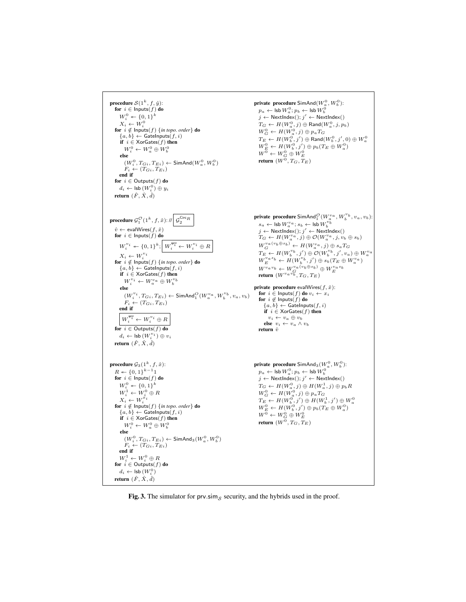```
procedure \mathcal{S}(1^k, f, \hat{y}):
  for i \in Inputs(f) do
       W_i^0 \leftarrow \{0, 1\}^kX_i \leftarrow W_i^0for i \notin Inputs(f) {in topo. order} do
      {a, b} \leftarrow GateInputs(f, i)if i \in XorGates(f) then
          W_i^0 \leftarrow W_a^0 \oplus W_b^0else
          (W_i^0, T_{Gi}, T_{Ei}) \leftarrow \mathsf{SimAnd}(W_a^0, W_b^0)<br>
F_i \leftarrow (T_{Gi}, T_{Ei})end if
  for i \in Outputs(f) do
       d_i \leftarrow \mathsf{lsb}\left(W_i^0\right) \oplus y_ireturn (\hat{F}, \hat{X}, \hat{d})private procedure \textsf{SimAnd}(W_a^0,W_b^0):
                                                                                                               p_a \leftarrow \textsf{lsb}\, W_a^0; p_b \leftarrow \textsf{lsb}\, W_b^0j \leftarrow NextIndex(); j' \leftarrow NextIndex()
                                                                                                               T_G \leftarrow H(W_a^0,j) \oplus \mathsf{Rand}(W_a^0,j,p_b)W_G^0 \leftarrow H(W_a^0, j) \oplus p_a T_GT_E \leftarrow H(W_b^0, j') \oplus \mathsf{Rand}(W_b^0, j', 0) \oplus W_a^0W_E^0 \leftarrow H(W_b^0, j') \oplus p_b(T_E \oplus W_a^0)W^0 \leftarrow W_G^0 \oplus W_E^0return (W^0, T_G, T_E)procedure {\cal G}^{\cal O}_1(1^k,f,\hat x): //\left| \ {\cal G}^{\sf Circ}_2R \right.\hat{v} \leftarrow \text{evalWires}(f, \hat{x})for i \in Inputs(f) do
       W_i^{v_i} \leftarrow \{0, 1\}^k; \middle| W_i^{\overline{v_i}} \leftarrow W_i^{v_i} \oplus RX_i \leftarrow W_i^{v_i}for i \notin Inputs(f) {in topo. order} do
      {a, b} \leftarrow GateInputs(f, i)if i \in XorGates(f) then
          \boldsymbol{W}_i^{v_i} \leftarrow \boldsymbol{W}_a^{v_a} \oplus \boldsymbol{W}_b^{v_b}else
          \begin{aligned} (W_i^{v_i},T_{Gi},T_{Ei})\leftarrow \mathsf{SimAnd}_1^O(W_a^{v_a},W_b^{v_b},v_a,v_b) \end{aligned}F_i \leftarrow (T_{Gi}, T_{Ei})end if
         W_i^{\overline{v_i}} \leftarrow W_i^{v_i} \oplus Rfor i \in Outputs(f) do
       d_i \leftarrow \mathsf{lsb}\left(W_i^{v_i}\right) \oplus v_ireturn (\hat{F}, \hat{X}, \hat{d})private procedure \textsf{SimAnd}^{\mathcal{O}}_1(W_a^{v_a}, W_b^{v_b}, v_a, v_b):
                                                                                                               s_a \leftarrow \textsf{lsb} \, W_a^{va} ; s_b \leftarrow \textsf{lsb} \, W_b^{\bar{v_b}}s_a \leftarrow isb w_a, s_b \leftarrow isb w_b<br>j \leftarrow NextIndex(); j' \leftarrow NextIndex()
                                                                                                               T_G \leftarrow H(W_a^{va}, j) \oplus \mathcal{O}(W_a^{va}, j, v_b \oplus s_b)W_G^{v_a(v_b \oplus s_b)} \leftarrow H(W_a^{v_a}, j) \oplus s_a T_GT_E \leftarrow H(W_b^{v_b}, j') \oplus \mathcal{O}(W_b^{v_b}, j', v_a) \oplus W_a^{v_a}W_{E}^{v_{a}s_{b}} \leftarrow H(W_{b}^{v_{b}}, j') \oplus \mathcal{O}(W_{b}^{k}, j', \mathcal{O}_{a}) \oplus W_{a}^{v_{a}}W^{v_a v_b} \leftarrow W^{v_a (v_b \oplus s_b)}_G \oplus W^{v_a s_b}_Ereturn (W^{v_a v_b}, T_G, T_E)private procedure evalWires(f, \hat{x}):
                                                                                                               for i \in \text{Inputs}(f) do v_i \leftarrow x_i<br>for i \notin \text{Inputs}(f) do
                                                                                                                  {a, b} \leftarrow GateInputs(f, i)
                                                                                                                  if i \in \text{XorGates}(f) then
                                                                                                                    v_i \leftarrow v_a \oplus v_belse v_i \leftarrow v_a \wedge v_breturn \hat{v}procedure {\cal G}_3(1^k,f,\hat x):
   R \leftarrow \{0, 1\}^{k-1}1for i \in \textsf{Inputs}(f) do
       W_i^0 \leftarrow \{0, 1\}^kW_i^1 \leftarrow W_i^0 \oplus RX_i \leftarrow W_i^{\dot{x_i}}for i \notin Inputs(f) {in topo. order} do
      {a, b} \leftarrow GateInputs(f, i)if i \in XorGates(f) then
          W_i^0 \leftarrow W_a^0 \oplus W_b^0else
          (W^0_i, T_{Gi}, T_{Ei}) \leftarrow \mathsf{SimAnd}_3(W^0_a, W^0_b)F_i \leftarrow (T_{Gi}, T_{Ei})<br>end if
       W_i^1 \leftarrow W_i^0 \oplus Rfor i \in Outputs(f) do
       d_i \leftarrow \mathsf{lsb}\left(W^0_i\right)return(\hat{F},\hat{X},\hat{d})private procedure SimAnd_3(W_a^0, W_b^0):
                                                                                                               p_a \leftarrow \textsf{lsb}\, W_a^0; p_b \leftarrow \textsf{lsb}\, W_b^0j \leftarrow NextIndex(j; j' \leftarrow NextIndex(j)T_G \leftarrow H(W_a^0, j) \oplus H(W_a^1, j) \oplus p_b RW_G^0 \leftarrow H(W_a^0, j) \oplus p_a T_GT_E \leftarrow H(W_b^0, j') \oplus H(W_b^1, j') \oplus W_a^0W_E^0 \leftarrow H(W_b^0, j') \oplus p_b(T_E \oplus W_a^0)W^0 \leftarrow W_G^0 \oplus W_E^0<br>return (W^0, T_G, T_E)
```
Fig. 3. The simulator for prv.sim<sub>S</sub> security, and the hybrids used in the proof.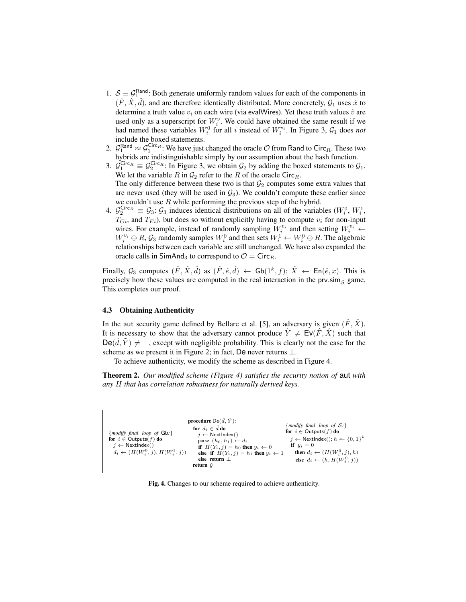- 1.  $S \equiv \mathcal{G}_1^{\text{Rand}}$ : Both generate uniformly random values for each of the components in  $(\hat{F}, \hat{X}, \hat{d})$ , and are therefore identically distributed. More concretely,  $\mathcal{G}_1$  uses  $\hat{x}$  to determine a truth value  $v_i$  on each wire (via evalWires). Yet these truth values  $\hat{v}$  are used only as a superscript for  $W_i^v$ . We could have obtained the same result if we had named these variables  $W_i^0$  for all i instead of  $W_i^{v_i}$ . In Figure 3,  $\mathcal{G}_1$  does *not* include the boxed statements.
- 2.  $\mathcal{G}_1^{\text{Rand}} \approx \mathcal{G}_1^{\text{Circ}_R}$ : We have just changed the oracle  $\mathcal O$  from Rand to Circ $_R$ . These two hybrids are indistinguishable simply by our assumption about the hash function.
- 3.  $\mathcal{G}_1^{\text{Circ}_R} \equiv \mathcal{G}_2^{\text{Circ}_R}$ : In Figure 3, we obtain  $\mathcal{G}_2$  by adding the boxed statements to  $\mathcal{G}_1$ . We let the variable R in  $\mathcal{G}_2$  refer to the R of the oracle Circ<sub>R</sub>. The only difference between these two is that  $\mathcal{G}_2$  computes some extra values that are never used (they will be used in  $\mathcal{G}_3$ ). We couldn't compute these earlier since we couldn't use  $R$  while performing the previous step of the hybrid.
- 4.  $\mathcal{G}_2^{\text{Circ}_R} \equiv \mathcal{G}_3$ :  $\mathcal{G}_3$  induces identical distributions on all of the variables  $(W_i^0, W_i^1,$  $T_{Gi}$ , and  $T_{Ei}$ ), but does so without explicitly having to compute  $v_i$  for non-input wires. For example, instead of randomly sampling  $W_i^{v_i}$  and then setting  $W_i^{\overline{v_i}}$   $\leftarrow$  $W_i^{v_i} \oplus R$ ,  $\mathcal{G}_3$  randomly samples  $W_i^0$  and then sets  $W_i^1 \leftarrow W_i^0 \oplus R$ . The algebraic relationships between each variable are still unchanged. We have also expanded the oracle calls in SimAnd<sub>3</sub> to correspond to  $\mathcal{O} = \text{Circ}_R$ .

Finally,  $\mathcal{G}_3$  computes  $(\hat{F}, \hat{X}, \hat{d})$  as  $(\hat{F}, \hat{e}, \hat{d}) \leftarrow$  Gb $(1^k, f); \ \hat{X} \leftarrow$  En $(\hat{e}, x)$ . This is precisely how these values are computed in the real interaction in the prv.sim<sub>S</sub> game. This completes our proof.

#### 4.3 Obtaining Authenticity

In the aut security game defined by Bellare et al. [5], an adversary is given  $(\hat{F}, \hat{X})$ . It is necessary to show that the adversary cannot produce  $Y \neq \text{Ev}(F, X)$  such that  $\mathsf{De}(\hat{d}, \tilde{Y}) \neq \bot$ , except with negligible probability. This is clearly not the case for the scheme as we present it in Figure 2; in fact, De never returns  $\perp$ .

To achieve authenticity, we modify the scheme as described in Figure 4.

Theorem 2. *Our modified scheme (Figure 4) satisfies the security notion of* aut *with any* H *that has correlation robustness for naturally derived keys.*

{*modify final loop of* Gb*:*} for  $i \in$  Outputs $(f)$  do  $j \leftarrow$  NextIndex()  $d_i \leftarrow (H(W_i^0, j), H(W_i^1, j))$ procedure  $\text{De}(\hat{d}, \hat{Y})$ : for  $d_i \in \hat{d}$  do  $j \leftarrow$  NextIndex() parse  $(h_0, h_1) \leftarrow d_i$ if  $H(Y_i, j) = h_0$  then  $y_i \leftarrow 0$ else if  $H(Y_i, j) = h_1$  then  $y_i \leftarrow 1$ else return ⊥ return  $\hat{y}$ {*modify final loop of*  $S$ :}<br>**for**  $i \in$  Outputs(*f*) **do**  $j$  ← NextIndex();  $h$  ←  $\{0, 1\}^k$ if  $u_i = 0$ then  $d_i \leftarrow (H(W_i^0, j), h)$ else  $d_i \leftarrow (h, H(W_i^0, j))$ 

Fig. 4. Changes to our scheme required to achieve authenticity.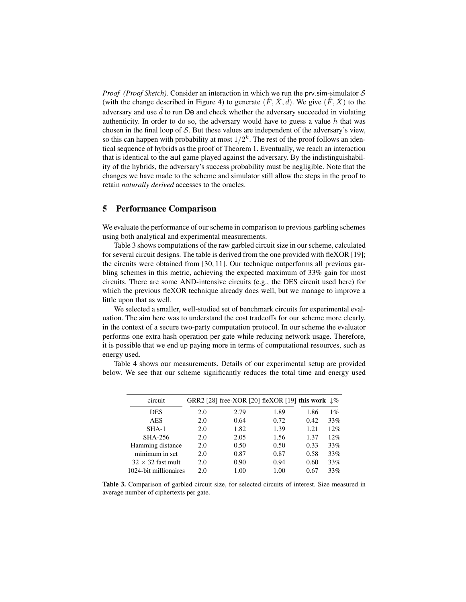*Proof (Proof Sketch).* Consider an interaction in which we run the prv.sim-simulator S (with the change described in Figure 4) to generate  $(F, X, d)$ . We give  $(F, \tilde{X})$  to the adversary and use  $\hat{d}$  to run De and check whether the adversary succeeded in violating authenticity. In order to do so, the adversary would have to guess a value  $h$  that was chosen in the final loop of  $S$ . But these values are independent of the adversary's view, so this can happen with probability at most  $1/2^k$ . The rest of the proof follows an identical sequence of hybrids as the proof of Theorem 1. Eventually, we reach an interaction that is identical to the aut game played against the adversary. By the indistinguishability of the hybrids, the adversary's success probability must be negligible. Note that the changes we have made to the scheme and simulator still allow the steps in the proof to retain *naturally derived* accesses to the oracles.

## 5 Performance Comparison

We evaluate the performance of our scheme in comparison to previous garbling schemes using both analytical and experimental measurements.

Table 3 shows computations of the raw garbled circuit size in our scheme, calculated for several circuit designs. The table is derived from the one provided with fleXOR [19]; the circuits were obtained from [30, 11]. Our technique outperforms all previous garbling schemes in this metric, achieving the expected maximum of 33% gain for most circuits. There are some AND-intensive circuits (e.g., the DES circuit used here) for which the previous fleXOR technique already does well, but we manage to improve a little upon that as well.

We selected a smaller, well-studied set of benchmark circuits for experimental evaluation. The aim here was to understand the cost tradeoffs for our scheme more clearly, in the context of a secure two-party computation protocol. In our scheme the evaluator performs one extra hash operation per gate while reducing network usage. Therefore, it is possible that we end up paying more in terms of computational resources, such as energy used.

Table 4 shows our measurements. Details of our experimental setup are provided below. We see that our scheme significantly reduces the total time and energy used

| circuit                  |     | GRR2 [28] free-XOR [20] fleXOR [19] this work $\sqrt[1]{6}$ |      |      |       |
|--------------------------|-----|-------------------------------------------------------------|------|------|-------|
| <b>DES</b>               | 2.0 | 2.79                                                        | 1.89 | 1.86 | $1\%$ |
| <b>AES</b>               | 2.0 | 0.64                                                        | 0.72 | 0.42 | 33%   |
| $SHA-1$                  | 2.0 | 1.82                                                        | 1.39 | 1.21 | 12%   |
| <b>SHA-256</b>           | 2.0 | 2.05                                                        | 1.56 | 1.37 | 12%   |
| Hamming distance         | 2.0 | 0.50                                                        | 0.50 | 0.33 | 33%   |
| minimum in set           | 2.0 | 0.87                                                        | 0.87 | 0.58 | 33%   |
| $32 \times 32$ fast mult | 2.0 | 0.90                                                        | 0.94 | 0.60 | 33%   |
| 1024-bit millionaires    | 2.0 | 1.00                                                        | 1.00 | 0.67 | 33%   |

Table 3. Comparison of garbled circuit size, for selected circuits of interest. Size measured in average number of ciphertexts per gate.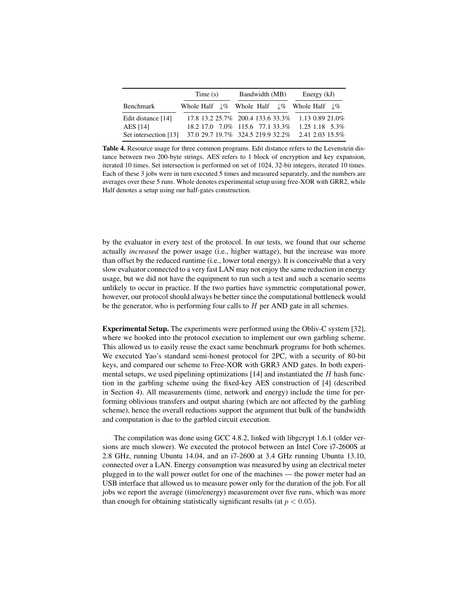|                       | Time $(s)$                                                                    |  | Bandwidth (MB) |  |  | Energy $(kJ)$ |  |                  |
|-----------------------|-------------------------------------------------------------------------------|--|----------------|--|--|---------------|--|------------------|
| Benchmark             | Whole Half $\downarrow\%$ Whole Half $\downarrow\%$ Whole Half $\downarrow\%$ |  |                |  |  |               |  |                  |
| Edit distance [14]    | 17.8 13.2 25.7% 200.4 133.6 33.3%                                             |  |                |  |  |               |  | 1.13 0.89 21.0%  |
| AES [14]              | 18.2 17.0 7.0% 115.6 77.1 33.3%                                               |  |                |  |  |               |  | $1.25$ 1.18 5.3% |
| Set intersection [13] | 37.0 29.7 19.7% 324.5 219.9 32.2%                                             |  |                |  |  |               |  | 2.41 2.03 15.5%  |

Table 4. Resource usage for three common programs. Edit distance refers to the Levenstein distance between two 200-byte strings. AES refers to 1 block of encryption and key expansion, iterated 10 times. Set intersection is performed on set of 1024, 32-bit integers, iterated 10 times. Each of these 3 jobs were in turn executed 5 times and measured separately, and the numbers are averages over these 5 runs. Whole denotes experimental setup using free-XOR with GRR2, while Half denotes a setup using our half-gates construction.

by the evaluator in every test of the protocol. In our tests, we found that our scheme actually *increased* the power usage (i.e., higher wattage), but the increase was more than offset by the reduced runtime (i.e., lower total energy). It is conceivable that a very slow evaluator connected to a very fast LAN may not enjoy the same reduction in energy usage, but we did not have the equipment to run such a test and such a scenario seems unlikely to occur in practice. If the two parties have symmetric computational power, however, our protocol should always be better since the computational bottleneck would be the generator, who is performing four calls to  $H$  per AND gate in all schemes.

Experimental Setup. The experiments were performed using the Obliv-C system [32], where we hooked into the protocol execution to implement our own garbling scheme. This allowed us to easily reuse the exact same benchmark programs for both schemes. We executed Yao's standard semi-honest protocol for 2PC, with a security of 80-bit keys, and compared our scheme to Free-XOR with GRR3 AND gates. In both experimental setups, we used pipelining optimizations  $[14]$  and instantiated the H hash function in the garbling scheme using the fixed-key AES construction of [4] (described in Section 4). All measurements (time, network and energy) include the time for performing oblivious transfers and output sharing (which are not affected by the garbling scheme), hence the overall reductions support the argument that bulk of the bandwidth and computation is due to the garbled circuit execution.

The compilation was done using GCC 4.8.2, linked with libgcrypt 1.6.1 (older versions are much slower). We executed the protocol between an Intel Core i7-2600S at 2.8 GHz, running Ubuntu 14.04, and an i7-2600 at 3.4 GHz running Ubuntu 13.10, connected over a LAN. Energy consumption was measured by using an electrical meter plugged in to the wall power outlet for one of the machines — the power meter had an USB interface that allowed us to measure power only for the duration of the job. For all jobs we report the average (time/energy) measurement over five runs, which was more than enough for obtaining statistically significant results (at  $p < 0.05$ ).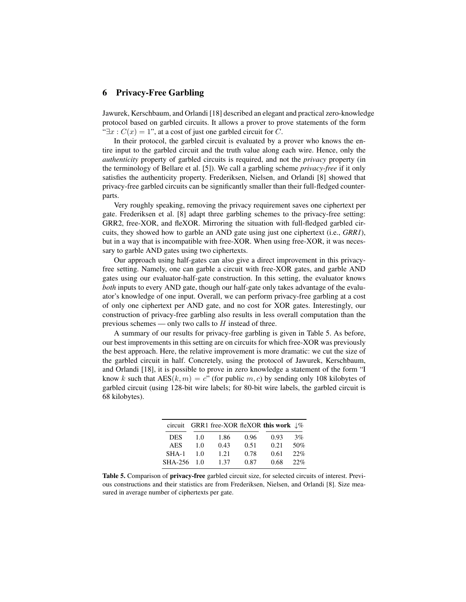### 6 Privacy-Free Garbling

Jawurek, Kerschbaum, and Orlandi [18] described an elegant and practical zero-knowledge protocol based on garbled circuits. It allows a prover to prove statements of the form " $\exists x : C(x) = 1$ ", at a cost of just one garbled circuit for C.

In their protocol, the garbled circuit is evaluated by a prover who knows the entire input to the garbled circuit and the truth value along each wire. Hence, only the *authenticity* property of garbled circuits is required, and not the *privacy* property (in the terminology of Bellare et al. [5]). We call a garbling scheme *privacy-free* if it only satisfies the authenticity property. Frederiksen, Nielsen, and Orlandi [8] showed that privacy-free garbled circuits can be significantly smaller than their full-fledged counterparts.

Very roughly speaking, removing the privacy requirement saves one ciphertext per gate. Frederiksen et al. [8] adapt three garbling schemes to the privacy-free setting: GRR2, free-XOR, and fleXOR. Mirroring the situation with full-fledged garbled circuits, they showed how to garble an AND gate using just one ciphertext (i.e., *GRR1*), but in a way that is incompatible with free-XOR. When using free-XOR, it was necessary to garble AND gates using two ciphertexts.

Our approach using half-gates can also give a direct improvement in this privacyfree setting. Namely, one can garble a circuit with free-XOR gates, and garble AND gates using our evaluator-half-gate construction. In this setting, the evaluator knows *both* inputs to every AND gate, though our half-gate only takes advantage of the evaluator's knowledge of one input. Overall, we can perform privacy-free garbling at a cost of only one ciphertext per AND gate, and no cost for XOR gates. Interestingly, our construction of privacy-free garbling also results in less overall computation than the previous schemes — only two calls to  $H$  instead of three.

A summary of our results for privacy-free garbling is given in Table 5. As before, our best improvements in this setting are on circuits for which free-XOR was previously the best approach. Here, the relative improvement is more dramatic: we cut the size of the garbled circuit in half. Concretely, using the protocol of Jawurek, Kerschbaum, and Orlandi [18], it is possible to prove in zero knowledge a statement of the form "I know k such that  $\text{AES}(k, m) = c$ " (for public m, c) by sending only 108 kilobytes of garbled circuit (using 128-bit wire labels; for 80-bit wire labels, the garbled circuit is 68 kilobytes).

|                |     |      |      | circuit GRR1 free-XOR fleXOR this work $\downarrow\%$ |     |
|----------------|-----|------|------|-------------------------------------------------------|-----|
| <b>DES</b>     | 1.0 | 1.86 | 0.96 | 0.93                                                  | 3%  |
| <b>AES</b>     | 1.0 | 0.43 | 0.51 | 0.21                                                  | 50% |
| $SHA-1$        | 10  | 1.21 | 0.78 | 0.61                                                  | 22% |
| <b>SHA-256</b> | 10  | 1.37 | 0.87 | 0.68                                                  | 22% |

Table 5. Comparison of privacy-free garbled circuit size, for selected circuits of interest. Previous constructions and their statistics are from Frederiksen, Nielsen, and Orlandi [8]. Size measured in average number of ciphertexts per gate.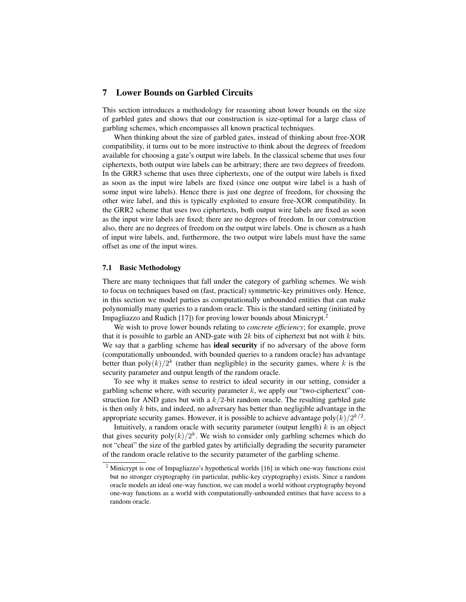# 7 Lower Bounds on Garbled Circuits

This section introduces a methodology for reasoning about lower bounds on the size of garbled gates and shows that our construction is size-optimal for a large class of garbling schemes, which encompasses all known practical techniques.

When thinking about the size of garbled gates, instead of thinking about free-XOR compatibility, it turns out to be more instructive to think about the degrees of freedom available for choosing a gate's output wire labels. In the classical scheme that uses four ciphertexts, both output wire labels can be arbitrary; there are two degrees of freedom. In the GRR3 scheme that uses three ciphertexts, one of the output wire labels is fixed as soon as the input wire labels are fixed (since one output wire label is a hash of some input wire labels). Hence there is just one degree of freedom, for choosing the other wire label, and this is typically exploited to ensure free-XOR compatibility. In the GRR2 scheme that uses two ciphertexts, both output wire labels are fixed as soon as the input wire labels are fixed; there are no degrees of freedom. In our construction also, there are no degrees of freedom on the output wire labels. One is chosen as a hash of input wire labels, and, furthermore, the two output wire labels must have the same offset as one of the input wires.

#### 7.1 Basic Methodology

There are many techniques that fall under the category of garbling schemes. We wish to focus on techniques based on (fast, practical) symmetric-key primitives only. Hence, in this section we model parties as computationally unbounded entities that can make polynomially many queries to a random oracle. This is the standard setting (initiated by Impagliazzo and Rudich [17]) for proving lower bounds about Minicrypt.<sup>2</sup>

We wish to prove lower bounds relating to *concrete efficiency*; for example, prove that it is possible to garble an AND-gate with  $2k$  bits of ciphertext but not with k bits. We say that a garbling scheme has **ideal security** if no adversary of the above form (computationally unbounded, with bounded queries to a random oracle) has advantage better than  $poly(k)/2^k$  (rather than negligible) in the security games, where k is the security parameter and output length of the random oracle.

To see why it makes sense to restrict to ideal security in our setting, consider a garbling scheme where, with security parameter  $k$ , we apply our "two-ciphertext" construction for AND gates but with a  $k/2$ -bit random oracle. The resulting garbled gate is then only  $k$  bits, and indeed, no adversary has better than negligible advantage in the appropriate security games. However, it is possible to achieve advantage poly $(k)/2^{k/2}$ .

Intuitively, a random oracle with security parameter (output length)  $k$  is an object that gives security  $poly(k)/2^k$ . We wish to consider only garbling schemes which do not "cheat" the size of the garbled gates by artificially degrading the security parameter of the random oracle relative to the security parameter of the garbling scheme.

<sup>&</sup>lt;sup>2</sup> Minicrypt is one of Impagliazzo's hypothetical worlds [16] in which one-way functions exist but no stronger cryptography (in particular, public-key cryptography) exists. Since a random oracle models an ideal one-way function, we can model a world without cryptography beyond one-way functions as a world with computationally-unbounded entities that have access to a random oracle.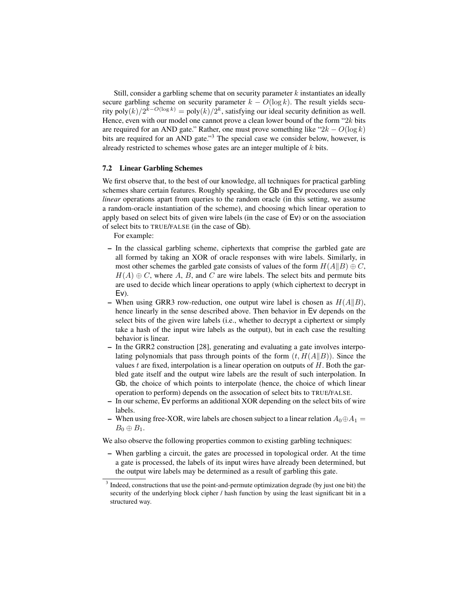Still, consider a garbling scheme that on security parameter  $k$  instantiates an ideally secure garbling scheme on security parameter  $k - O(\log k)$ . The result yields security poly $(k)/2^{k-O(\log k)} = \text{poly}(k)/2^k$ , satisfying our ideal security definition as well. Hence, even with our model one cannot prove a clean lower bound of the form " $2k$  bits are required for an AND gate." Rather, one must prove something like " $2k - O(\log k)$ " bits are required for an AND gate."<sup>3</sup> The special case we consider below, however, is already restricted to schemes whose gates are an integer multiple of k bits.

### 7.2 Linear Garbling Schemes

We first observe that, to the best of our knowledge, all techniques for practical garbling schemes share certain features. Roughly speaking, the Gb and Ev procedures use only *linear* operations apart from queries to the random oracle (in this setting, we assume a random-oracle instantiation of the scheme), and choosing which linear operation to apply based on select bits of given wire labels (in the case of Ev) or on the association of select bits to TRUE/FALSE (in the case of Gb).

For example:

- In the classical garbling scheme, ciphertexts that comprise the garbled gate are all formed by taking an XOR of oracle responses with wire labels. Similarly, in most other schemes the garbled gate consists of values of the form  $H(A||B) \oplus C$ ,  $H(A) \oplus C$ , where A, B, and C are wire labels. The select bits and permute bits are used to decide which linear operations to apply (which ciphertext to decrypt in Ev).
- When using GRR3 row-reduction, one output wire label is chosen as  $H(A||B)$ , hence linearly in the sense described above. Then behavior in Ev depends on the select bits of the given wire labels (i.e., whether to decrypt a ciphertext or simply take a hash of the input wire labels as the output), but in each case the resulting behavior is linear.
- In the GRR2 construction [28], generating and evaluating a gate involves interpolating polynomials that pass through points of the form  $(t, H(A||B))$ . Since the values t are fixed, interpolation is a linear operation on outputs of  $H$ . Both the garbled gate itself and the output wire labels are the result of such interpolation. In Gb, the choice of which points to interpolate (hence, the choice of which linear operation to perform) depends on the assocation of select bits to TRUE/FALSE.
- In our scheme, Ev performs an additional XOR depending on the select bits of wire labels.
- When using free-XOR, wire labels are chosen subject to a linear relation  $A_0 \oplus A_1 =$  $B_0 \oplus B_1$ .

We also observe the following properties common to existing garbling techniques:

– When garbling a circuit, the gates are processed in topological order. At the time a gate is processed, the labels of its input wires have already been determined, but the output wire labels may be determined as a result of garbling this gate.

 $3$  Indeed, constructions that use the point-and-permute optimization degrade (by just one bit) the security of the underlying block cipher / hash function by using the least significant bit in a structured way.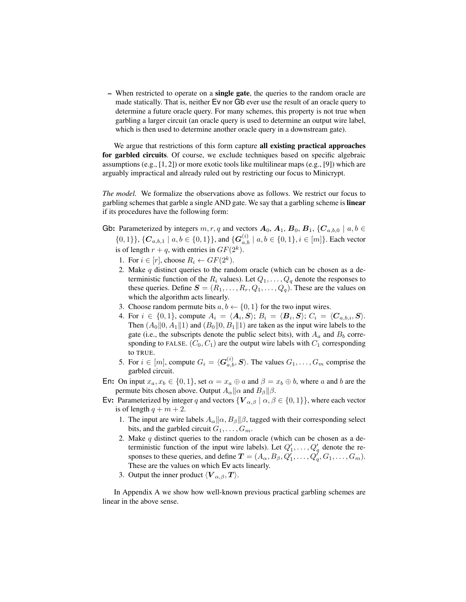– When restricted to operate on a single gate, the queries to the random oracle are made statically. That is, neither Ev nor Gb ever use the result of an oracle query to determine a future oracle query. For many schemes, this property is not true when garbling a larger circuit (an oracle query is used to determine an output wire label, which is then used to determine another oracle query in a downstream gate).

We argue that restrictions of this form capture all existing practical approaches for garbled circuits. Of course, we exclude techniques based on specific algebraic assumptions (e.g.,  $[1, 2]$ ) or more exotic tools like multilinear maps (e.g.,  $[9]$ ) which are arguably impractical and already ruled out by restricting our focus to Minicrypt.

*The model.* We formalize the observations above as follows. We restrict our focus to garbling schemes that garble a single AND gate. We say that a garbling scheme is linear if its procedures have the following form:

Gb: Parameterized by integers  $m, r, q$  and vectors  $A_0, A_1, B_0, B_1, \{C_{a,b,0} \mid a, b \in \mathbb{R}\}$  $\{0,1\}$ ,  $\{C_{a,b,1} \mid a,b \in \{0,1\}\}$ , and  $\{G_{a,b}^{(i)} \mid a,b \in \{0,1\}, i \in [m]\}$ . Each vector

- is of length  $r + q$ , with entries in  $GF(2^k)$ .
- 1. For  $i \in [r]$ , choose  $R_i \leftarrow GF(2^k)$ .
- 2. Make  $q$  distinct queries to the random oracle (which can be chosen as a deterministic function of the  $R_i$  values). Let  $Q_1, \ldots, Q_q$  denote the responses to these queries. Define  $S = (R_1, \ldots, R_r, Q_1, \ldots, Q_q)$ . These are the values on which the algorithm acts linearly.
- 3. Choose random permute bits  $a, b \leftarrow \{0, 1\}$  for the two input wires.
- 4. For  $i \in \{0,1\}$ , compute  $A_i = \langle A_i, S \rangle$ ;  $B_i = \langle B_i, S \rangle$ ;  $C_i = \langle C_{a,b,i}, S \rangle$ . Then  $(A_0||0, A_1||1)$  and  $(B_0||0, B_1||1)$  are taken as the input wire labels to the gate (i.e., the subscripts denote the public select bits), with  $A_a$  and  $B_b$  corresponding to FALSE.  $(C_0, C_1)$  are the output wire labels with  $C_1$  corresponding to TRUE.
- 5. For  $i \in [m]$ , compute  $G_i = \langle G_{a,b}^{(i)}, S \rangle$ . The values  $G_1, \ldots, G_m$  comprise the garbled circuit.
- En: On input  $x_a, x_b \in \{0, 1\}$ , set  $\alpha = x_a \oplus a$  and  $\beta = x_b \oplus b$ , where a and b are the permute bits chosen above. Output  $A_{\alpha}$  || $\alpha$  and  $B_{\beta}$ || $\beta$ .
- Ev: Parameterized by integer q and vectors  $\{V_{\alpha,\beta} \mid \alpha, \beta \in \{0,1\}\}\)$ , where each vector is of length  $q + m + 2$ .
	- 1. The input are wire labels  $A_{\alpha} \| \alpha, B_{\beta} \| \beta$ , tagged with their corresponding select bits, and the garbled circuit  $G_1, \ldots, G_m$ .
	- 2. Make  $q$  distinct queries to the random oracle (which can be chosen as a deterministic function of the input wire labels). Let  $Q'_1, \ldots, Q'_q$  denote the responses to these queries, and define  $\bm{T}=(A_\alpha,B_\beta,Q'_1,\ldots,Q'_q,G_1,\ldots,G_m).$ These are the values on which Ev acts linearly.
	- 3. Output the inner product  $\langle V_{\alpha,\beta}, T \rangle$ .

In Appendix A we show how well-known previous practical garbling schemes are linear in the above sense.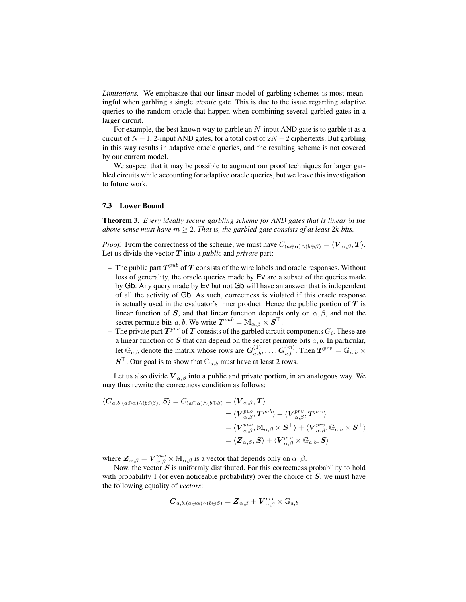*Limitations.* We emphasize that our linear model of garbling schemes is most meaningful when garbling a single *atomic* gate. This is due to the issue regarding adaptive queries to the random oracle that happen when combining several garbled gates in a larger circuit.

For example, the best known way to garble an  $N$ -input AND gate is to garble it as a circuit of  $N-1$ , 2-input AND gates, for a total cost of  $2N-2$  ciphertexts. But garbling in this way results in adaptive oracle queries, and the resulting scheme is not covered by our current model.

We suspect that it may be possible to augment our proof techniques for larger garbled circuits while accounting for adaptive oracle queries, but we leave this investigation to future work.

#### 7.3 Lower Bound

Theorem 3. *Every ideally secure garbling scheme for AND gates that is linear in the above sense must have*  $m \geq 2$ *. That is, the garbled gate consists of at least 2k bits.* 

*Proof.* From the correctness of the scheme, we must have  $C_{(a \oplus \alpha) \wedge (b \oplus \beta)} = \langle V_{\alpha, \beta}, T \rangle$ . Let us divide the vector T into a *public* and *private* part:

- The public part  $T^{pub}$  of  $T$  consists of the wire labels and oracle responses. Without loss of generality, the oracle queries made by Ev are a subset of the queries made by Gb. Any query made by Ev but not Gb will have an answer that is independent of all the activity of Gb. As such, correctness is violated if this oracle response is actually used in the evaluator's inner product. Hence the public portion of  $T$  is linear function of S, and that linear function depends only on  $\alpha$ ,  $\beta$ , and not the secret permute bits a, b. We write  $T^{pub} = \mathbb{M}_{\alpha,\beta} \times S^{\top}$ .
- The private part  $T^{prv}$  of T consists of the garbled circuit components  $G_i$ . These are a linear function of  $S$  that can depend on the secret permute bits  $a, b$ . In particular, let  $\mathbb{G}_{a,b}$  denote the matrix whose rows are  $G_{a,b}^{(1)}, \ldots, G_{a,b}^{(m)}$ . Then  $T^{prv} = \mathbb{G}_{a,b} \times$

 $S^{\top}$ . Our goal is to show that  $\mathbb{G}_{a,b}$  must have at least 2 rows.

Let us also divide  $V_{\alpha,\beta}$  into a public and private portion, in an analogous way. We may thus rewrite the correctness condition as follows:

$$
\begin{aligned} \langle \boldsymbol{C}_{a,b,(a \oplus \alpha) \land (b \oplus \beta)}, \boldsymbol{S} \rangle &= C_{(a \oplus \alpha) \land (b \oplus \beta)} = \langle \boldsymbol{V}_{\alpha,\beta}, \boldsymbol{T} \rangle \\ &= \langle \boldsymbol{V}_{\alpha,\beta}^{pub}, \boldsymbol{T}^{pub} \rangle + \langle \boldsymbol{V}_{\alpha,\beta}^{prv}, \boldsymbol{T}^{prv} \rangle \\ &= \langle \boldsymbol{V}_{\alpha,\beta}^{pub}, \mathbb{M}_{\alpha,\beta} \times \boldsymbol{S}^{\top} \rangle + \langle \boldsymbol{V}_{\alpha,\beta}^{prv}, \mathbb{G}_{a,b} \times \boldsymbol{S}^{\top} \rangle \\ &= \langle \boldsymbol{Z}_{\alpha,\beta}, \boldsymbol{S} \rangle + \langle \boldsymbol{V}_{\alpha,\beta}^{prv} \times \mathbb{G}_{a,b}, \boldsymbol{S} \rangle \end{aligned}
$$

where  $\mathbf{Z}_{\alpha,\beta} = \mathbf{V}_{\alpha,\beta}^{pub} \times \mathbb{M}_{\alpha,\beta}$  is a vector that depends only on  $\alpha,\beta$ .

Now, the vector  $S$  is uniformly distributed. For this correctness probability to hold with probability 1 (or even noticeable probability) over the choice of  $S$ , we must have the following equality of *vectors*:

$$
\boldsymbol{C}_{a,b,(a\oplus\alpha)\wedge(b\oplus\beta)}=\boldsymbol{Z}_{\alpha,\beta}+\boldsymbol{V}_{\alpha,\beta}^{prv}\times\mathbb{G}_{a,b}
$$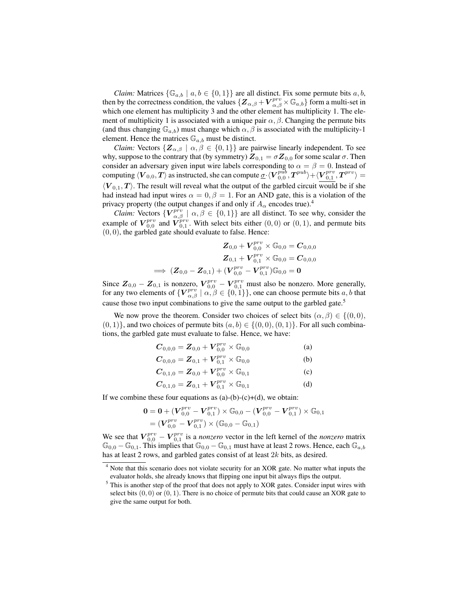*Claim:* Matrices  $\{\mathbb{G}_{a,b} \mid a,b \in \{0,1\}\}\$  are all distinct. Fix some permute bits  $a, b$ , then by the correctness condition, the values  $\{Z_{\alpha,\beta} + V_{\alpha,\beta}^{prv} \times \mathbb{G}_{a,b}\}\,$  form a multi-set in which one element has multiplicity 3 and the other element has multiplicity 1. The element of multiplicity 1 is associated with a unique pair  $\alpha$ ,  $\beta$ . Changing the permute bits (and thus changing  $\mathbb{G}_{a,b}$ ) must change which  $\alpha, \beta$  is associated with the multiplicity-1 element. Hence the matrices  $\mathbb{G}_{a,b}$  must be distinct.

*Claim:* Vectors  $\{Z_{\alpha,\beta} \mid \alpha,\beta \in \{0,1\}\}\$  are pairwise linearly independent. To see why, suppose to the contrary that (by symmetry)  $Z_{0,1} = \sigma Z_{0,0}$  for some scalar  $\sigma$ . Then consider an adversary given input wire labels corresponding to  $\alpha = \beta = 0$ . Instead of computing  $\langle {\bm V}_{0,0},{\bm T}\rangle$  as instructed, she can compute  $\underline{\sigma}\!\cdot\!\langle {\bm V}_{0,0}^{p\bar{u}b},{\bm T}^{pub}\rangle\!+\!\langle {\bm V}_{0,1}^{prv},{\bm T}^{prv}\rangle=$  $\langle V_{0,1}, T \rangle$ . The result will reveal what the output of the garbled circuit would be if she had instead had input wires  $\alpha = 0, \beta = 1$ . For an AND gate, this is a violation of the privacy property (the output changes if and only if  $A_{\alpha}$  encodes true).<sup>4</sup>

*Claim:* Vectors  $\{V_{\alpha,\beta}^{p\bar{r}v} \mid \alpha,\beta \in \{0,1\}\}\$  are all distinct. To see why, consider the example of  $V_{0,0}^{prv}$  and  $\hat{V}_{0,1}^{prv}$ . With select bits either  $(0,0)$  or  $(0,1)$ , and permute bits  $(0, 0)$ , the garbled gate should evaluate to false. Hence:

$$
\begin{aligned} \boldsymbol{Z}_{0,0} + \boldsymbol{V}_{0,0}^{prv}\times \mathbb{G}_{0,0} &= \boldsymbol{C}_{0,0,0} \\ \boldsymbol{Z}_{0,1} + \boldsymbol{V}_{0,1}^{prv}\times \mathbb{G}_{0,0} &= \boldsymbol{C}_{0,0,0} \\ \Longrightarrow \ (\boldsymbol{Z}_{0,0} - \boldsymbol{Z}_{0,1}) + (\boldsymbol{V}_{0,0}^{prv} - \boldsymbol{V}_{0,1}^{prv})\mathbb{G}_{0,0} &= \boldsymbol{0} \end{aligned}
$$

Since  $\mathbf{Z}_{0,0} - \mathbf{Z}_{0,1}$  is nonzero,  $\mathbf{V}_{0,0}^{prv} - \mathbf{V}_{0,1}^{prv}$  must also be nonzero. More generally, for any two elements of  $\{V_{\alpha,\beta}^{prv} \mid \alpha,\beta \in \{0,1\}\}\)$ , one can choose permute bits  $a,b$  that cause those two input combinations to give the same output to the garbled gate.<sup>5</sup>

We now prove the theorem. Consider two choices of select bits  $(\alpha, \beta) \in \{ (0, 0),$  $(0, 1)$ , and two choices of permute bits  $(a, b) \in \{(0, 0), (0, 1)\}$ . For all such combinations, the garbled gate must evaluate to false. Hence, we have:

$$
\boldsymbol{C}_{0,0,0} = \boldsymbol{Z}_{0,0} + \boldsymbol{V}_{0,0}^{prv} \times \mathbb{G}_{0,0}
$$
 (a)

$$
C_{0,0,0} = Z_{0,1} + V_{0,1}^{prv} \times \mathbb{G}_{0,0}
$$
 (b)

$$
C_{0,1,0} = Z_{0,0} + V_{0,0}^{prv} \times \mathbb{G}_{0,1}
$$
 (c)

$$
C_{0,1,0} = Z_{0,1} + V_{0,1}^{prv} \times \mathbb{G}_{0,1}
$$
 (d)

If we combine these four equations as  $(a)-(b)-(c)+(d)$ , we obtain:

$$
0 = 0 + (V_{0,0}^{prv} - V_{0,1}^{prv}) \times \mathbb{G}_{0,0} - (V_{0,0}^{prv} - V_{0,1}^{prv}) \times \mathbb{G}_{0,1}
$$
  
=  $(V_{0,0}^{prv} - V_{0,1}^{prv}) \times (\mathbb{G}_{0,0} - \mathbb{G}_{0,1})$ 

We see that  $V_{0,0}^{prv} - V_{0,1}^{prv}$  is a *nonzero* vector in the left kernel of the *nonzero* matrix  $\mathbb{G}_{0,0} - \mathbb{G}_{0,1}$ . This implies that  $\mathbb{G}_{0,0} - \mathbb{G}_{0,1}$  must have at least 2 rows. Hence, each  $\mathbb{G}_{a,b}$ has at least 2 rows, and garbled gates consist of at least 2k bits, as desired.

<sup>&</sup>lt;sup>4</sup> Note that this scenario does not violate security for an XOR gate. No matter what inputs the evaluator holds, she already knows that flipping one input bit always flips the output.

<sup>&</sup>lt;sup>5</sup> This is another step of the proof that does not apply to XOR gates. Consider input wires with select bits  $(0, 0)$  or  $(0, 1)$ . There is no choice of permute bits that could cause an XOR gate to give the same output for both.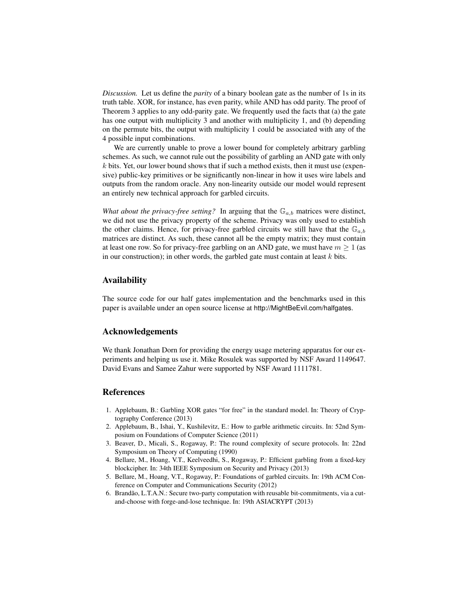*Discussion.* Let us define the *parity* of a binary boolean gate as the number of 1s in its truth table. XOR, for instance, has even parity, while AND has odd parity. The proof of Theorem 3 applies to any odd-parity gate. We frequently used the facts that (a) the gate has one output with multiplicity 3 and another with multiplicity 1, and (b) depending on the permute bits, the output with multiplicity 1 could be associated with any of the 4 possible input combinations.

We are currently unable to prove a lower bound for completely arbitrary garbling schemes. As such, we cannot rule out the possibility of garbling an AND gate with only  $k$  bits. Yet, our lower bound shows that if such a method exists, then it must use (expensive) public-key primitives or be significantly non-linear in how it uses wire labels and outputs from the random oracle. Any non-linearity outside our model would represent an entirely new technical approach for garbled circuits.

*What about the privacy-free setting?* In arguing that the  $\mathbb{G}_{a,b}$  matrices were distinct, we did not use the privacy property of the scheme. Privacy was only used to establish the other claims. Hence, for privacy-free garbled circuits we still have that the  $\mathbb{G}_{a,b}$ matrices are distinct. As such, these cannot all be the empty matrix; they must contain at least one row. So for privacy-free garbling on an AND gate, we must have  $m \geq 1$  (as in our construction); in other words, the garbled gate must contain at least  $k$  bits.

### Availability

The source code for our half gates implementation and the benchmarks used in this paper is available under an open source license at http://MightBeEvil.com/halfgates.

### Acknowledgements

We thank Jonathan Dorn for providing the energy usage metering apparatus for our experiments and helping us use it. Mike Rosulek was supported by NSF Award 1149647. David Evans and Samee Zahur were supported by NSF Award 1111781.

### References

- 1. Applebaum, B.: Garbling XOR gates "for free" in the standard model. In: Theory of Cryptography Conference (2013)
- 2. Applebaum, B., Ishai, Y., Kushilevitz, E.: How to garble arithmetic circuits. In: 52nd Symposium on Foundations of Computer Science (2011)
- 3. Beaver, D., Micali, S., Rogaway, P.: The round complexity of secure protocols. In: 22nd Symposium on Theory of Computing (1990)
- 4. Bellare, M., Hoang, V.T., Keelveedhi, S., Rogaway, P.: Efficient garbling from a fixed-key blockcipher. In: 34th IEEE Symposium on Security and Privacy (2013)
- 5. Bellare, M., Hoang, V.T., Rogaway, P.: Foundations of garbled circuits. In: 19th ACM Conference on Computer and Communications Security (2012)
- 6. Brandão, L.T.A.N.: Secure two-party computation with reusable bit-commitments, via a cutand-choose with forge-and-lose technique. In: 19th ASIACRYPT (2013)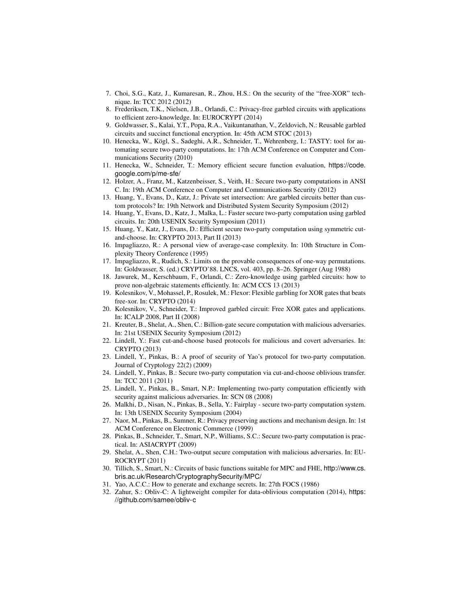- 7. Choi, S.G., Katz, J., Kumaresan, R., Zhou, H.S.: On the security of the "free-XOR" technique. In: TCC 2012 (2012)
- 8. Frederiksen, T.K., Nielsen, J.B., Orlandi, C.: Privacy-free garbled circuits with applications to efficient zero-knowledge. In: EUROCRYPT (2014)
- 9. Goldwasser, S., Kalai, Y.T., Popa, R.A., Vaikuntanathan, V., Zeldovich, N.: Reusable garbled circuits and succinct functional encryption. In: 45th ACM STOC (2013)
- 10. Henecka, W., Kögl, S., Sadeghi, A.R., Schneider, T., Wehrenberg, I.: TASTY: tool for automating secure two-party computations. In: 17th ACM Conference on Computer and Communications Security (2010)
- 11. Henecka, W., Schneider, T.: Memory efficient secure function evaluation, https://code. google.com/p/me-sfe/
- 12. Holzer, A., Franz, M., Katzenbeisser, S., Veith, H.: Secure two-party computations in ANSI C. In: 19th ACM Conference on Computer and Communications Security (2012)
- 13. Huang, Y., Evans, D., Katz, J.: Private set intersection: Are garbled circuits better than custom protocols? In: 19th Network and Distributed System Security Symposium (2012)
- 14. Huang, Y., Evans, D., Katz, J., Malka, L.: Faster secure two-party computation using garbled circuits. In: 20th USENIX Security Symposium (2011)
- 15. Huang, Y., Katz, J., Evans, D.: Efficient secure two-party computation using symmetric cutand-choose. In: CRYPTO 2013, Part II (2013)
- 16. Impagliazzo, R.: A personal view of average-case complexity. In: 10th Structure in Complexity Theory Conference (1995)
- 17. Impagliazzo, R., Rudich, S.: Limits on the provable consequences of one-way permutations. In: Goldwasser, S. (ed.) CRYPTO'88. LNCS, vol. 403, pp. 8–26. Springer (Aug 1988)
- 18. Jawurek, M., Kerschbaum, F., Orlandi, C.: Zero-knowledge using garbled circuits: how to prove non-algebraic statements efficiently. In: ACM CCS 13 (2013)
- 19. Kolesnikov, V., Mohassel, P., Rosulek, M.: Flexor: Flexible garbling for XOR gates that beats free-xor. In: CRYPTO (2014)
- 20. Kolesnikov, V., Schneider, T.: Improved garbled circuit: Free XOR gates and applications. In: ICALP 2008, Part II (2008)
- 21. Kreuter, B., Shelat, A., Shen, C.: Billion-gate secure computation with malicious adversaries. In: 21st USENIX Security Symposium (2012)
- 22. Lindell, Y.: Fast cut-and-choose based protocols for malicious and covert adversaries. In: CRYPTO (2013)
- 23. Lindell, Y., Pinkas, B.: A proof of security of Yao's protocol for two-party computation. Journal of Cryptology 22(2) (2009)
- 24. Lindell, Y., Pinkas, B.: Secure two-party computation via cut-and-choose oblivious transfer. In: TCC 2011 (2011)
- 25. Lindell, Y., Pinkas, B., Smart, N.P.: Implementing two-party computation efficiently with security against malicious adversaries. In: SCN 08 (2008)
- 26. Malkhi, D., Nisan, N., Pinkas, B., Sella, Y.: Fairplay secure two-party computation system. In: 13th USENIX Security Symposium (2004)
- 27. Naor, M., Pinkas, B., Sumner, R.: Privacy preserving auctions and mechanism design. In: 1st ACM Conference on Electronic Commerce (1999)
- 28. Pinkas, B., Schneider, T., Smart, N.P., Williams, S.C.: Secure two-party computation is practical. In: ASIACRYPT (2009)
- 29. Shelat, A., Shen, C.H.: Two-output secure computation with malicious adversaries. In: EU-ROCRYPT (2011)
- 30. Tillich, S., Smart, N.: Circuits of basic functions suitable for MPC and FHE, http://www.cs. bris.ac.uk/Research/CryptographySecurity/MPC/
- 31. Yao, A.C.C.: How to generate and exchange secrets. In: 27th FOCS (1986)
- 32. Zahur, S.: Obliv-C: A lightweight compiler for data-oblivious computation (2014), https: //github.com/samee/obliv-c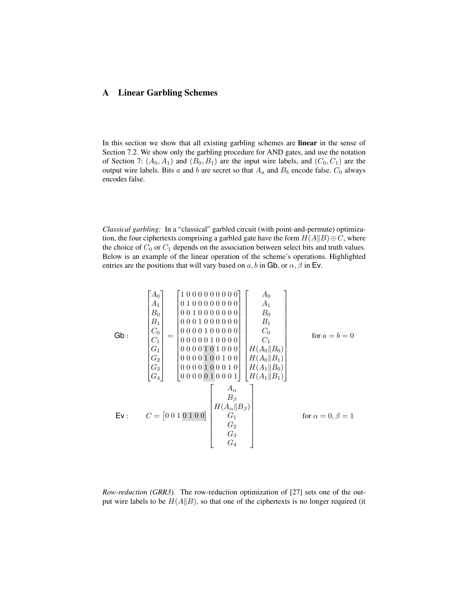## A Linear Garbling Schemes

In this section we show that all existing garbling schemes are linear in the sense of Section 7.2. We show only the garbling procedure for AND gates, and use the notation of Section 7:  $(A_0, A_1)$  and  $(B_0, B_1)$  are the input wire labels, and  $(C_0, C_1)$  are the output wire labels. Bits a and b are secret so that  $A_a$  and  $B_b$  encode false.  $C_0$  always encodes false.

*Classical garbling:* In a "classical" garbled circuit (with point-and-permute) optimization, the four ciphertexts comprising a garbled gate have the form  $H(A||B) \oplus C$ , where the choice of  $C_0$  or  $C_1$  depends on the association between select bits and truth values. Below is an example of the linear operation of the scheme's operations. Highlighted entries are the positions that will vary based on  $a, b$  in Gb, or  $\alpha, \beta$  in Ev.

$$
\mathbf{G}\mathbf{b}: \qquad \begin{bmatrix} A_0 \\ A_1 \\ B_0 \\ B_1 \\ C_0 \\ C_1 \\ G_2 \\ G_3 \\ G_4 \end{bmatrix} = \begin{bmatrix} 1 & 0 & 0 & 0 & 0 & 0 & 0 & 0 \\ 0 & 1 & 0 & 0 & 0 & 0 & 0 & 0 \\ 0 & 0 & 1 & 0 & 0 & 0 & 0 & 0 & 0 \\ 0 & 0 & 0 & 1 & 0 & 0 & 0 & 0 & 0 \\ 0 & 0 & 0 & 0 & 1 & 0 & 0 & 0 & 0 \\ 0 & 0 & 0 & 0 & 1 & 0 & 0 & 0 & 0 \\ 0 & 0 & 0 & 0 & 1 & 0 & 0 & 0 & 0 \\ 0 & 0 & 0 & 0 & 1 & 0 & 0 & 0 & 0 \\ 0 & 0 & 0 & 0 & 1 & 0 & 0 & 0 & 1 \\ 0 & 0 & 0 & 0 & 1 & 0 & 0 & 0 & 1 \\ 0 & 0 & 0 & 0 & 1 & 0 & 0 & 0 & 1 \end{bmatrix} \begin{bmatrix} A_0 \\ B_1 \\ B_2 \\ H(A_0 || B_0) \\ H(A_1 || B_1) \\ H(A_1 || B_1) \\ H(A_1 || B_1) \end{bmatrix}
$$
\n
$$
\mathbf{E}\mathbf{v}: \qquad C = \begin{bmatrix} 0 & 0 & 1 & 0 & 1 & 0 & 0 \\ 0 & 1 & 0 & 1 & 0 & 0 \\ 0 & 1 & 0 & 1 & 0 & 0 \end{bmatrix} \begin{bmatrix} A_0 \\ H(A_0 || B_1) \\ H(A_1 || B_1) \\ G_1 \\ G_1 \\ G_2 \\ G_3 \\ G_4 \end{bmatrix} \qquad \text{for } \alpha = 0, \beta = 1
$$

*Row-reduction (GRR3).* The row-reduction optimization of [27] sets one of the output wire labels to be  $H(A||B)$ , so that one of the ciphertexts is no longer required (it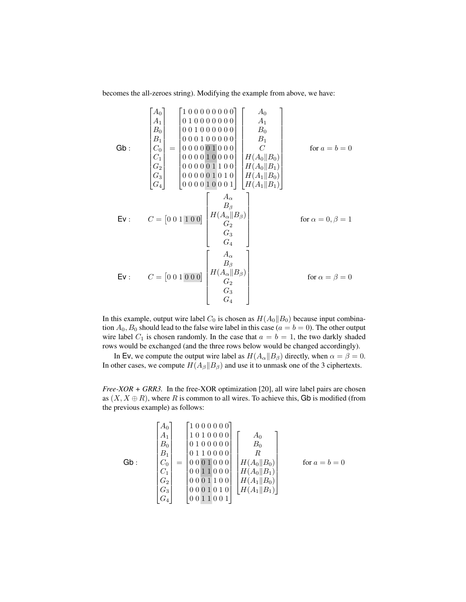becomes the all-zeroes string). Modifying the example from above, we have:

$$
\begin{bmatrix}\nA_0 \\
A_1 \\
B_0 \\
B_1 \\
C_0 \\
C_1 \\
G_2 \\
G_4\n\end{bmatrix} = \begin{bmatrix}\n1 & 0 & 0 & 0 & 0 & 0 & 0 & 0 \\
0 & 1 & 0 & 0 & 0 & 0 & 0 & 0 \\
0 & 0 & 0 & 1 & 0 & 0 & 0 & 0 & 0 \\
0 & 0 & 0 & 1 & 0 & 0 & 0 & 0 & 0 \\
0 & 0 & 0 & 0 & 1 & 0 & 0 & 0 & 0 \\
C_2 \\
C_3 \\
C_4 \\
C_5 \\
C_6\n\end{bmatrix} = \begin{bmatrix}\nA_0 \\
0 & 0 & 0 & 0 & 0 & 0 & 0 \\
0 & 0 & 0 & 0 & 0 & 0 & 0 \\
0 & 0 & 0 & 0 & 0 & 0 & 0 \\
0 & 0 & 0 & 0 & 0 & 1 & 0 & 0 \\
0 & 0 & 0 & 0 & 0 & 1 & 0 & 0 \\
0 & 0 & 0 & 0 & 0 & 0 & 0 & 1 \\
C_4 \\
C_5 \\
C_6\n\end{bmatrix} = \begin{bmatrix}\nA_0 \\
B_1 \\
B_2 \\
B_3 \\
B_4 \\
C_4 \\
C_5 \\
C_6\n\end{bmatrix}
$$
\n
$$
\text{Ev:} \quad C = \begin{bmatrix}\n0 & 0 & 1 & 0 & 0 & 0 \\
0 & 0 & 1 & 0 & 0 & 0 \\
0 & 0 & 0 & 0 & 1 & 0 \\
0 & 0 & 0 & 0 & 0 & 0 \\
C_2 \\
C_3 \\
C_4 \\
C_5 \\
C_6\n\end{bmatrix} = \begin{bmatrix}\nA_0 \\
B_1 \\
B_2 \\
B_3 \\
C_4 \\
C_5 \\
C_6\n\end{bmatrix}
$$
\n
$$
\text{for } \alpha = 0, \beta = 1
$$
\n
$$
\text{Ev:} \quad C = \begin{bmatrix}\n0 & 0 & 1 & 0 & 0 & 0 \\
0 & 0 & 1 & 0 & 0 & 0 \\
C_2 \\
C_3 \\
C_4 \\
C_5 \\
C_6\n\end{bmatrix} = \begin{bmatrix}\nA_0 \\
B_1 \\
B_2 \\
C_3 \\
C_4 \\
C_5 \\
C_6\n\end{bmatrix}
$$
\n
$$
\text{for } \alpha = 0, \beta = 1
$$

In this example, output wire label  $C_0$  is chosen as  $H(A_0||B_0)$  because input combination  $A_0$ ,  $B_0$  should lead to the false wire label in this case ( $a = b = 0$ ). The other output wire label  $C_1$  is chosen randomly. In the case that  $a = b = 1$ , the two darkly shaded rows would be exchanged (and the three rows below would be changed accordingly).

In Ev, we compute the output wire label as  $H(A_\alpha||B_\beta)$  directly, when  $\alpha = \beta = 0$ . In other cases, we compute  $H(A_\beta||B_\beta)$  and use it to unmask one of the 3 ciphertexts.

*Free-XOR + GRR3.* In the free-XOR optimization [20], all wire label pairs are chosen as  $(X, X \oplus R)$ , where R is common to all wires. To achieve this, Gb is modified (from the previous example) as follows:

$$
\text{Gb}: \quad \begin{bmatrix} A_0 \\ A_1 \\ B_0 \\ B_1 \\ C_0 \\ C_1 \\ C_2 \\ C_3 \\ G_4 \end{bmatrix} = \begin{bmatrix} 1 & 0 & 0 & 0 & 0 & 0 \\ 1 & 0 & 1 & 0 & 0 & 0 & 0 \\ 0 & 1 & 0 & 0 & 0 & 0 & 0 \\ 0 & 1 & 1 & 0 & 0 & 0 & 0 \\ 0 & 0 & 0 & 1 & 0 & 0 & 0 \\ 0 & 0 & 1 & 1 & 0 & 0 & 0 \\ 0 & 0 & 0 & 1 & 1 & 0 & 0 \\ 0 & 0 & 0 & 1 & 0 & 0 & 0 \\ 0 & 0 & 0 & 1 & 0 & 0 & 0 \end{bmatrix} \begin{bmatrix} A_0 \\ B_0 \\ R \\ H(A_0 || B_0) \\ H(A_1 || B_0) \\ H(A_1 || B_0) \\ H(A_1 || B_1) \\ H(A_1 || B_1) \end{bmatrix} \quad \text{for } a = b = 0
$$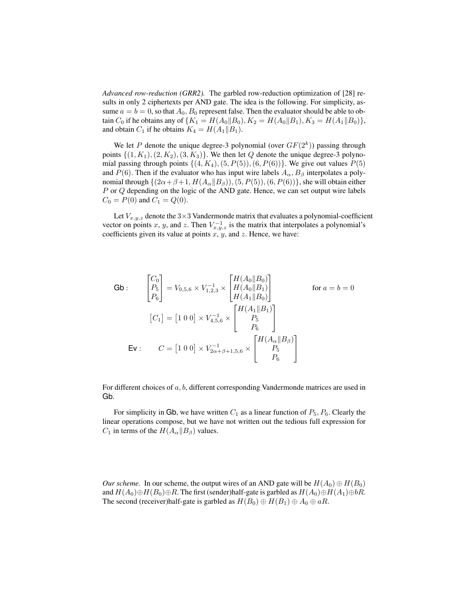*Advanced row-reduction (GRR2).* The garbled row-reduction optimization of [28] results in only 2 ciphertexts per AND gate. The idea is the following. For simplicity, assume  $a = b = 0$ , so that  $A_0$ ,  $B_0$  represent false. Then the evaluator should be able to obtain  $C_0$  if he obtains any of  $\{K_1 = H(A_0||B_0), K_2 = H(A_0||B_1), K_3 = H(A_1||B_0)\},$ and obtain  $C_1$  if he obtains  $K_4 = H(A_1||B_1)$ .

We let P denote the unique degree-3 polynomial (over  $GF(2<sup>k</sup>)$ ) passing through points  $\{(1, K_1), (2, K_2), (3, K_3)\}.$  We then let Q denote the unique degree-3 polynomial passing through points  $\{(4, K_4), (5, P(5)), (6, P(6))\}$ . We give out values  $P(5)$ and  $P(6)$ . Then if the evaluator who has input wire labels  $A_{\alpha}$ ,  $B_{\beta}$  interpolates a polynomial through  $\{(2\alpha+\beta+1, H(A_{\alpha}||B_{\beta})), (5, P(5)), (6, P(6))\}$ , she will obtain either P or Q depending on the logic of the AND gate. Hence, we can set output wire labels  $C_0 = P(0)$  and  $C_1 = Q(0)$ .

Let  $V_{x,y,z}$  denote the 3×3 Vandermonde matrix that evaluates a polynomial-coefficient vector on points x, y, and z. Then  $V_{x,y,z}^{-1}$  is the matrix that interpolates a polynomial's coefficients given its value at points  $x, y$ , and  $z$ . Hence, we have:

**Gb**:

\n
$$
\begin{bmatrix}\nC_0 \\
P_5 \\
P_6\n\end{bmatrix} = V_{0,5,6} \times V_{1,2,3}^{-1} \times \begin{bmatrix}\nH(A_0 \| B_0) \\
H(A_0 \| B_1) \\
H(A_1 \| B_0)\n\end{bmatrix}
$$
\nfor  $a = b = 0$ 

\n
$$
\begin{bmatrix}\nC_1\n\end{bmatrix} = \begin{bmatrix}\n1 & 0 & 0\n\end{bmatrix} \times V_{4,5,6}^{-1} \times \begin{bmatrix}\nH(A_1 \| B_1) \\
P_5 \\
P_6\n\end{bmatrix}
$$
\n**Ev**:

\n
$$
C = \begin{bmatrix}\n1 & 0 & 0\n\end{bmatrix} \times V_{2\alpha+\beta+1,5,6}^{-1} \times \begin{bmatrix}\nH(A_\alpha \| B_\beta) \\
P_5 \\
P_6\n\end{bmatrix}
$$

For different choices of a, b, different corresponding Vandermonde matrices are used in Gb.

For simplicity in Gb, we have written  $C_1$  as a linear function of  $P_5$ ,  $P_6$ . Clearly the linear operations compose, but we have not written out the tedious full expression for  $C_1$  in terms of the  $H(A_\alpha||B_\beta)$  values.

*Our scheme.* In our scheme, the output wires of an AND gate will be  $H(A_0) \oplus H(B_0)$ and  $H(A_0) \oplus H(B_0) \oplus R$ . The first (sender)half-gate is garbled as  $H(A_0) \oplus H(A_1) \oplus bR$ . The second (receiver)half-gate is garbled as  $H(B_0) \oplus H(B_1) \oplus A_0 \oplus aR$ .